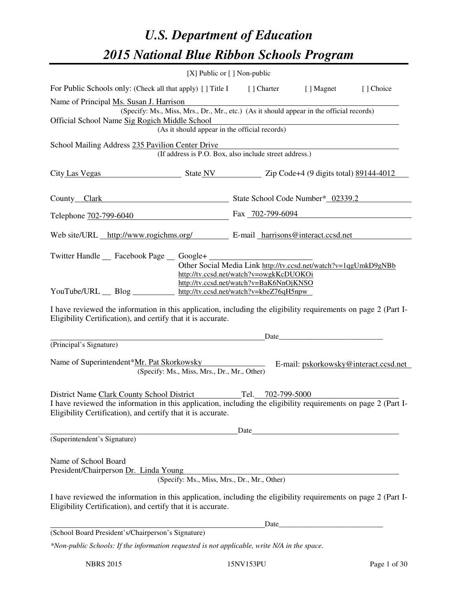# *U.S. Department of Education 2015 National Blue Ribbon Schools Program*

|                                                                                                                                                                                                                                                                                                                                                                                                                                                   | [X] Public or [] Non-public                                                                                                               |                   |  |                                       |  |
|---------------------------------------------------------------------------------------------------------------------------------------------------------------------------------------------------------------------------------------------------------------------------------------------------------------------------------------------------------------------------------------------------------------------------------------------------|-------------------------------------------------------------------------------------------------------------------------------------------|-------------------|--|---------------------------------------|--|
| For Public Schools only: (Check all that apply) [] Title I [] Charter [] Magnet                                                                                                                                                                                                                                                                                                                                                                   |                                                                                                                                           |                   |  | [] Choice                             |  |
| Name of Principal Ms. Susan J. Harrison<br>Official School Name Sig Rogich Middle School                                                                                                                                                                                                                                                                                                                                                          | (Specify: Ms., Miss, Mrs., Dr., Mr., etc.) (As it should appear in the official records)<br>(As it should appear in the official records) |                   |  |                                       |  |
| School Mailing Address 235 Pavilion Center Drive                                                                                                                                                                                                                                                                                                                                                                                                  | (If address is P.O. Box, also include street address.)                                                                                    |                   |  |                                       |  |
| City Las Vegas State NV State NV Zip Code+4 (9 digits total) 89144-4012                                                                                                                                                                                                                                                                                                                                                                           |                                                                                                                                           |                   |  |                                       |  |
| County Clark School Code Number* 02339.2                                                                                                                                                                                                                                                                                                                                                                                                          |                                                                                                                                           |                   |  |                                       |  |
| Telephone 702-799-6040 Fax 702-799-6094                                                                                                                                                                                                                                                                                                                                                                                                           |                                                                                                                                           |                   |  |                                       |  |
| Web site/URL http://www.rogichms.org/ E-mail harrisons@interact.ccsd.net                                                                                                                                                                                                                                                                                                                                                                          |                                                                                                                                           |                   |  |                                       |  |
| Twitter Handle __ Facebook Page __ Google+<br>Other Social Media Link http://tv.ccsd.net/watch?v=1qgUmkD9gNBb<br>http://tv.ccsd.net/watch?v=owgkKcDUOKOi<br>http://tv.ccsd.net/watch?v=BaK6NnOjKNSO<br>YouTube/URL Blog http://tv.ccsd.net/watch?v=kbeZ76qH5npw<br>I have reviewed the information in this application, including the eligibility requirements on page 2 (Part I-<br>Eligibility Certification), and certify that it is accurate. |                                                                                                                                           |                   |  |                                       |  |
|                                                                                                                                                                                                                                                                                                                                                                                                                                                   |                                                                                                                                           | Date              |  |                                       |  |
| (Principal's Signature)<br>Name of Superintendent*Mr. Pat Skorkowsky<br>District Name Clark County School District<br>I have reviewed the information in this application, including the eligibility requirements on page 2 (Part I-                                                                                                                                                                                                              | (Specify: Ms., Miss, Mrs., Dr., Mr., Other)                                                                                               | Tel. 702-799-5000 |  | E-mail: pskorkowsky@interact.ccsd.net |  |
| Eligibility Certification), and certify that it is accurate.                                                                                                                                                                                                                                                                                                                                                                                      |                                                                                                                                           |                   |  |                                       |  |
| (Superintendent's Signature)                                                                                                                                                                                                                                                                                                                                                                                                                      |                                                                                                                                           | Date              |  |                                       |  |
| Name of School Board<br>President/Chairperson Dr. Linda Young                                                                                                                                                                                                                                                                                                                                                                                     | (Specify: Ms., Miss, Mrs., Dr., Mr., Other)                                                                                               |                   |  |                                       |  |
| I have reviewed the information in this application, including the eligibility requirements on page 2 (Part I-<br>Eligibility Certification), and certify that it is accurate.                                                                                                                                                                                                                                                                    |                                                                                                                                           |                   |  |                                       |  |
|                                                                                                                                                                                                                                                                                                                                                                                                                                                   |                                                                                                                                           | Date              |  |                                       |  |
| (School Board President's/Chairperson's Signature)                                                                                                                                                                                                                                                                                                                                                                                                |                                                                                                                                           |                   |  |                                       |  |
| *Non-public Schools: If the information requested is not applicable, write N/A in the space.                                                                                                                                                                                                                                                                                                                                                      |                                                                                                                                           |                   |  |                                       |  |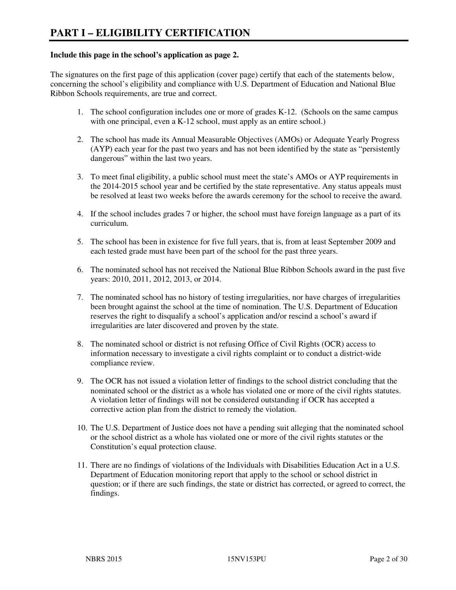#### **Include this page in the school's application as page 2.**

The signatures on the first page of this application (cover page) certify that each of the statements below, concerning the school's eligibility and compliance with U.S. Department of Education and National Blue Ribbon Schools requirements, are true and correct.

- 1. The school configuration includes one or more of grades K-12. (Schools on the same campus with one principal, even a K-12 school, must apply as an entire school.)
- 2. The school has made its Annual Measurable Objectives (AMOs) or Adequate Yearly Progress (AYP) each year for the past two years and has not been identified by the state as "persistently dangerous" within the last two years.
- 3. To meet final eligibility, a public school must meet the state's AMOs or AYP requirements in the 2014-2015 school year and be certified by the state representative. Any status appeals must be resolved at least two weeks before the awards ceremony for the school to receive the award.
- 4. If the school includes grades 7 or higher, the school must have foreign language as a part of its curriculum.
- 5. The school has been in existence for five full years, that is, from at least September 2009 and each tested grade must have been part of the school for the past three years.
- 6. The nominated school has not received the National Blue Ribbon Schools award in the past five years: 2010, 2011, 2012, 2013, or 2014.
- 7. The nominated school has no history of testing irregularities, nor have charges of irregularities been brought against the school at the time of nomination. The U.S. Department of Education reserves the right to disqualify a school's application and/or rescind a school's award if irregularities are later discovered and proven by the state.
- 8. The nominated school or district is not refusing Office of Civil Rights (OCR) access to information necessary to investigate a civil rights complaint or to conduct a district-wide compliance review.
- 9. The OCR has not issued a violation letter of findings to the school district concluding that the nominated school or the district as a whole has violated one or more of the civil rights statutes. A violation letter of findings will not be considered outstanding if OCR has accepted a corrective action plan from the district to remedy the violation.
- 10. The U.S. Department of Justice does not have a pending suit alleging that the nominated school or the school district as a whole has violated one or more of the civil rights statutes or the Constitution's equal protection clause.
- 11. There are no findings of violations of the Individuals with Disabilities Education Act in a U.S. Department of Education monitoring report that apply to the school or school district in question; or if there are such findings, the state or district has corrected, or agreed to correct, the findings.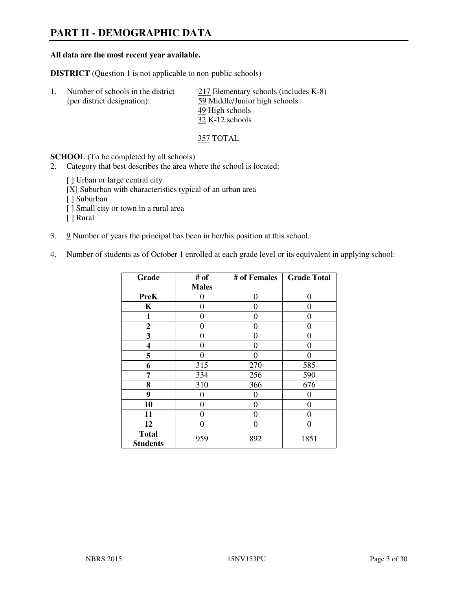# **PART II - DEMOGRAPHIC DATA**

#### **All data are the most recent year available.**

**DISTRICT** (Question 1 is not applicable to non-public schools)

1. Number of schools in the district 217 Elementary schools (includes K-8) (per district designation): 59 Middle/Junior high schools 49 High schools 32 K-12 schools

357 TOTAL

**SCHOOL** (To be completed by all schools)

- 2. Category that best describes the area where the school is located:
	- [] Urban or large central city
	- [X] Suburban with characteristics typical of an urban area
	- [ ] Suburban
	- [ ] Small city or town in a rural area
	- [ ] Rural
- 3. 9 Number of years the principal has been in her/his position at this school.
- 4. Number of students as of October 1 enrolled at each grade level or its equivalent in applying school:

| Grade                           | # of         | # of Females | <b>Grade Total</b> |
|---------------------------------|--------------|--------------|--------------------|
|                                 | <b>Males</b> |              |                    |
| <b>PreK</b>                     | 0            | $\theta$     | $\theta$           |
| K                               | 0            | 0            | $\theta$           |
| 1                               | 0            | 0            | 0                  |
| $\mathbf{2}$                    | 0            | 0            | 0                  |
| 3                               | 0            | $\Omega$     | $\mathbf{\Omega}$  |
| 4                               | 0            | $\Omega$     | 0                  |
| 5                               | 0            | 0            | $\theta$           |
| 6                               | 315          | 270          | 585                |
| 7                               | 334          | 256          | 590                |
| 8                               | 310          | 366          | 676                |
| 9                               | $\theta$     | 0            | 0                  |
| 10                              | 0            | 0            | 0                  |
| 11                              | 0            | 0            | $\theta$           |
| 12                              | 0            | 0            | 0                  |
| <b>Total</b><br><b>Students</b> | 959          | 892          | 1851               |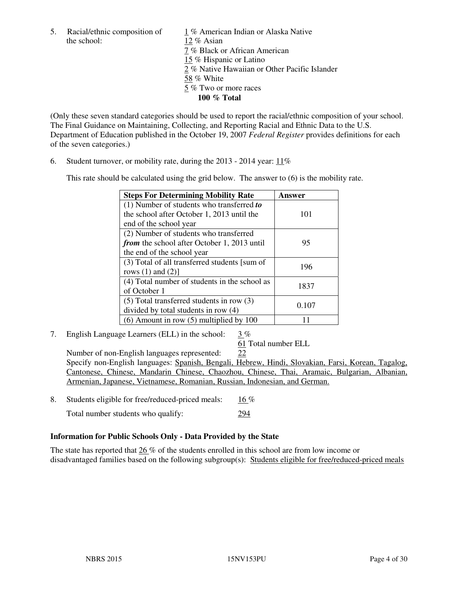5. Racial/ethnic composition of  $\frac{1}{2}$  % American Indian or Alaska Native the school:  $\frac{12}{8}$  Asian 12 % Asian 7 % Black or African American 15 % Hispanic or Latino 2 % Native Hawaiian or Other Pacific Islander 58 % White 5 % Two or more races **100 % Total** 

(Only these seven standard categories should be used to report the racial/ethnic composition of your school. The Final Guidance on Maintaining, Collecting, and Reporting Racial and Ethnic Data to the U.S. Department of Education published in the October 19, 2007 *Federal Register* provides definitions for each of the seven categories.)

6. Student turnover, or mobility rate, during the 2013 - 2014 year: 11%

This rate should be calculated using the grid below. The answer to (6) is the mobility rate.

| <b>Steps For Determining Mobility Rate</b>         | Answer |
|----------------------------------------------------|--------|
| $(1)$ Number of students who transferred to        |        |
| the school after October 1, 2013 until the         | 101    |
| end of the school year                             |        |
| (2) Number of students who transferred             |        |
| <i>from</i> the school after October 1, 2013 until | 95     |
| the end of the school year                         |        |
| (3) Total of all transferred students [sum of      | 196    |
| rows $(1)$ and $(2)$ ]                             |        |
| (4) Total number of students in the school as      | 1837   |
| of October 1                                       |        |
| $(5)$ Total transferred students in row $(3)$      |        |
| divided by total students in row (4)               | 0.107  |
| $(6)$ Amount in row $(5)$ multiplied by 100        |        |

7. English Language Learners (ELL) in the school: 3 %

61 Total number ELL

 Number of non-English languages represented: 22 Specify non-English languages: Spanish, Bengali, Hebrew, Hindi, Slovakian, Farsi, Korean, Tagalog, Cantonese, Chinese, Mandarin Chinese, Chaozhou, Chinese, Thai, Aramaic, Bulgarian, Albanian, Armenian, Japanese, Vietnamese, Romanian, Russian, Indonesian, and German.

8. Students eligible for free/reduced-priced meals: 16 %

Total number students who qualify: 294

# **Information for Public Schools Only - Data Provided by the State**

The state has reported that 26 % of the students enrolled in this school are from low income or disadvantaged families based on the following subgroup(s): Students eligible for free/reduced-priced meals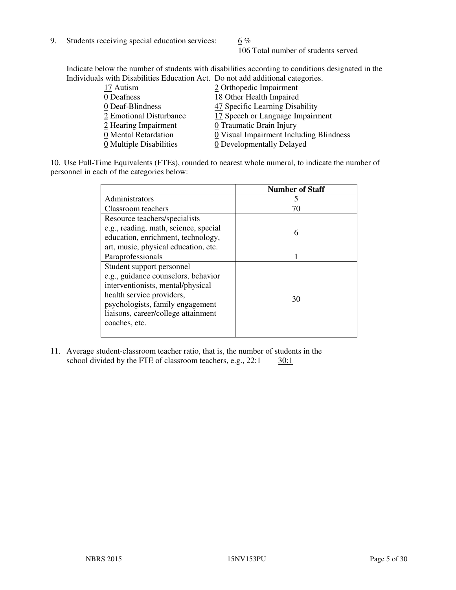9. Students receiving special education services:  $6\%$ 

106 Total number of students served

Indicate below the number of students with disabilities according to conditions designated in the Individuals with Disabilities Education Act. Do not add additional categories.

| 17 Autism               | 2 Orthopedic Impairment                 |
|-------------------------|-----------------------------------------|
| 0 Deafness              | 18 Other Health Impaired                |
| 0 Deaf-Blindness        | 47 Specific Learning Disability         |
| 2 Emotional Disturbance | 17 Speech or Language Impairment        |
| 2 Hearing Impairment    | 0 Traumatic Brain Injury                |
| 0 Mental Retardation    | 0 Visual Impairment Including Blindness |
| 0 Multiple Disabilities | 0 Developmentally Delayed               |
|                         |                                         |

10. Use Full-Time Equivalents (FTEs), rounded to nearest whole numeral, to indicate the number of personnel in each of the categories below:

|                                       | <b>Number of Staff</b> |
|---------------------------------------|------------------------|
| Administrators                        |                        |
| Classroom teachers                    | 70                     |
| Resource teachers/specialists         |                        |
| e.g., reading, math, science, special | 6                      |
| education, enrichment, technology,    |                        |
| art, music, physical education, etc.  |                        |
| Paraprofessionals                     |                        |
| Student support personnel             |                        |
| e.g., guidance counselors, behavior   |                        |
| interventionists, mental/physical     |                        |
| health service providers,             | 30                     |
| psychologists, family engagement      |                        |
| liaisons, career/college attainment   |                        |
| coaches, etc.                         |                        |
|                                       |                        |

11. Average student-classroom teacher ratio, that is, the number of students in the school divided by the FTE of classroom teachers, e.g.,  $22:1$   $30:1$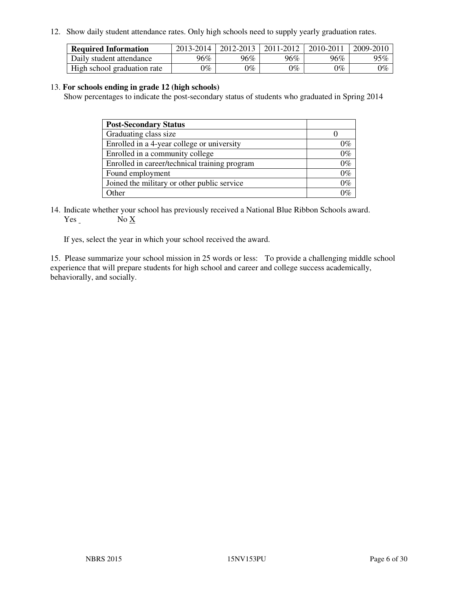12. Show daily student attendance rates. Only high schools need to supply yearly graduation rates.

| <b>Required Information</b> | 2013-2014     | 2012-2013 | 2011-2012 | 2010-2011 | 2009-2010 |
|-----------------------------|---------------|-----------|-----------|-----------|-----------|
| Daily student attendance    | 96%           | $96\%$    | 96%       | 96%       | 95%       |
| High school graduation rate | $\gamma_{\%}$ | 9%        | $0\%$     | $0\%$     | $0\%$     |

#### 13. **For schools ending in grade 12 (high schools)**

Show percentages to indicate the post-secondary status of students who graduated in Spring 2014

| <b>Post-Secondary Status</b>                  |       |
|-----------------------------------------------|-------|
| Graduating class size                         |       |
| Enrolled in a 4-year college or university    | በ‰    |
| Enrolled in a community college               | $0\%$ |
| Enrolled in career/technical training program | $0\%$ |
| Found employment                              | $0\%$ |
| Joined the military or other public service   | 0%    |
| Other                                         |       |

14. Indicate whether your school has previously received a National Blue Ribbon Schools award. Yes No X

If yes, select the year in which your school received the award.

15. Please summarize your school mission in 25 words or less: To provide a challenging middle school experience that will prepare students for high school and career and college success academically, behaviorally, and socially.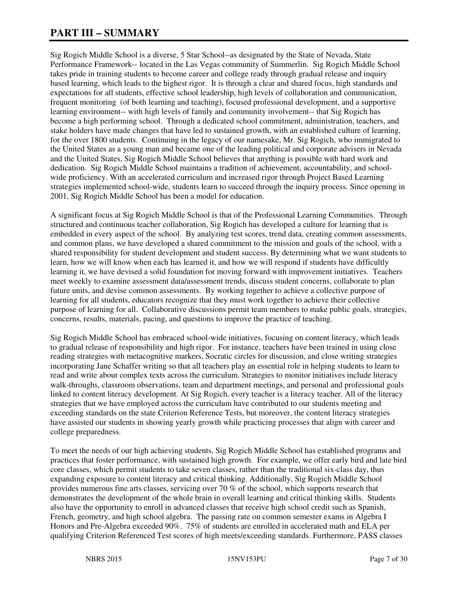# **PART III – SUMMARY**

Sig Rogich Middle School is a diverse, 5 Star School--as designated by the State of Nevada, State Performance Framework-- located in the Las Vegas community of Summerlin. Sig Rogich Middle School takes pride in training students to become career and college ready through gradual release and inquiry based learning, which leads to the highest rigor. It is through a clear and shared focus, high standards and expectations for all students, effective school leadership, high levels of collaboration and communication, frequent monitoring (of both learning and teaching), focused professional development, and a supportive learning environment-- with high levels of family and community involvement-- that Sig Rogich has become a high performing school. Through a dedicated school commitment, administration, teachers, and stake holders have made changes that have led to sustained growth, with an established culture of learning, for the over 1800 students. Continuing in the legacy of our namesake, Mr. Sig Rogich, who immigrated to the United States as a young man and became one of the leading political and corporate advisers in Nevada and the United States, Sig Rogich Middle School believes that anything is possible with hard work and dedication. Sig Rogich Middle School maintains a tradition of achievement, accountability, and schoolwide proficiency. With an accelerated curriculum and increased rigor through Project Based Learning strategies implemented school-wide, students learn to succeed through the inquiry process. Since opening in 2001, Sig Rogich Middle School has been a model for education.

A significant focus at Sig Rogich Middle School is that of the Professional Learning Communities. Through structured and continuous teacher collaboration, Sig Rogich has developed a culture for learning that is embedded in every aspect of the school. By analyzing test scores, trend data, creating common assessments, and common plans, we have developed a shared commitment to the mission and goals of the school, with a shared responsibility for student development and student success. By determining what we want students to learn, how we will know when each has learned it, and how we will respond if students have difficultly learning it, we have devised a solid foundation for moving forward with improvement initiatives. Teachers meet weekly to examine assessment data/assessment trends, discuss student concerns, collaborate to plan future units, and devise common assessments. By working together to achieve a collective purpose of learning for all students, educators recognize that they must work together to achieve their collective purpose of learning for all. Collaborative discussions permit team members to make public goals, strategies, concerns, results, materials, pacing, and questions to improve the practice of teaching.

Sig Rogich Middle School has embraced school-wide initiatives, focusing on content literacy, which leads to gradual release of responsibility and high rigor. For instance, teachers have been trained in using close reading strategies with metacognitive markers, Socratic circles for discussion, and close writing strategies incorporating Jane Schaffer writing so that all teachers play an essential role in helping students to learn to read and write about complex texts across the curriculum. Strategies to monitor initiatives include literacy walk-throughs, classroom observations, team and department meetings, and personal and professional goals linked to content literacy development. At Sig Rogich, every teacher is a literacy teacher. All of the literacy strategies that we have employed across the curriculum have contributed to our students meeting and exceeding standards on the state Criterion Reference Tests, but moreover, the content literacy strategies have assisted our students in showing yearly growth while practicing processes that align with career and college preparedness.

To meet the needs of our high achieving students, Sig Rogich Middle School has established programs and practices that foster performance, with sustained high growth. For example, we offer early bird and late bird core classes, which permit students to take seven classes, rather than the traditional six-class day, thus expanding exposure to content literacy and critical thinking. Additionally, Sig Rogich Middle School provides numerous fine arts classes, servicing over 70 % of the school, which supports research that demonstrates the development of the whole brain in overall learning and critical thinking skills. Students also have the opportunity to enroll in advanced classes that receive high school credit such as Spanish, French, geometry, and high school algebra. The passing rate on common semester exams in Algebra I Honors and Pre-Algebra exceeded 90%. 75% of students are enrolled in accelerated math and ELA per qualifying Criterion Referenced Test scores of high meets/exceeding standards. Furthermore, PASS classes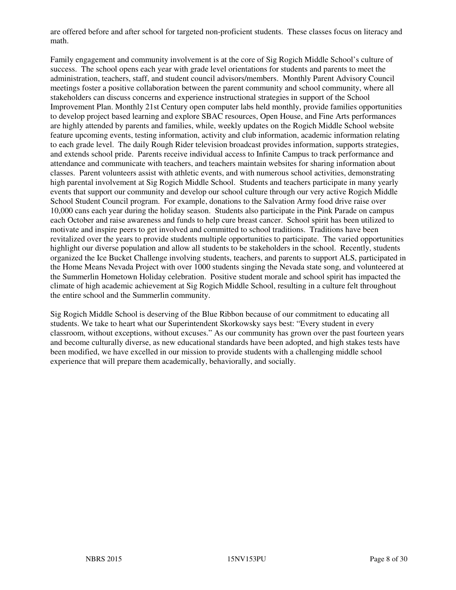are offered before and after school for targeted non-proficient students. These classes focus on literacy and math.

Family engagement and community involvement is at the core of Sig Rogich Middle School's culture of success. The school opens each year with grade level orientations for students and parents to meet the administration, teachers, staff, and student council advisors/members. Monthly Parent Advisory Council meetings foster a positive collaboration between the parent community and school community, where all stakeholders can discuss concerns and experience instructional strategies in support of the School Improvement Plan. Monthly 21st Century open computer labs held monthly, provide families opportunities to develop project based learning and explore SBAC resources, Open House, and Fine Arts performances are highly attended by parents and families, while, weekly updates on the Rogich Middle School website feature upcoming events, testing information, activity and club information, academic information relating to each grade level. The daily Rough Rider television broadcast provides information, supports strategies, and extends school pride. Parents receive individual access to Infinite Campus to track performance and attendance and communicate with teachers, and teachers maintain websites for sharing information about classes. Parent volunteers assist with athletic events, and with numerous school activities, demonstrating high parental involvement at Sig Rogich Middle School. Students and teachers participate in many yearly events that support our community and develop our school culture through our very active Rogich Middle School Student Council program. For example, donations to the Salvation Army food drive raise over 10,000 cans each year during the holiday season. Students also participate in the Pink Parade on campus each October and raise awareness and funds to help cure breast cancer. School spirit has been utilized to motivate and inspire peers to get involved and committed to school traditions. Traditions have been revitalized over the years to provide students multiple opportunities to participate. The varied opportunities highlight our diverse population and allow all students to be stakeholders in the school. Recently, students organized the Ice Bucket Challenge involving students, teachers, and parents to support ALS, participated in the Home Means Nevada Project with over 1000 students singing the Nevada state song, and volunteered at the Summerlin Hometown Holiday celebration. Positive student morale and school spirit has impacted the climate of high academic achievement at Sig Rogich Middle School, resulting in a culture felt throughout the entire school and the Summerlin community.

Sig Rogich Middle School is deserving of the Blue Ribbon because of our commitment to educating all students. We take to heart what our Superintendent Skorkowsky says best: "Every student in every classroom, without exceptions, without excuses." As our community has grown over the past fourteen years and become culturally diverse, as new educational standards have been adopted, and high stakes tests have been modified, we have excelled in our mission to provide students with a challenging middle school experience that will prepare them academically, behaviorally, and socially.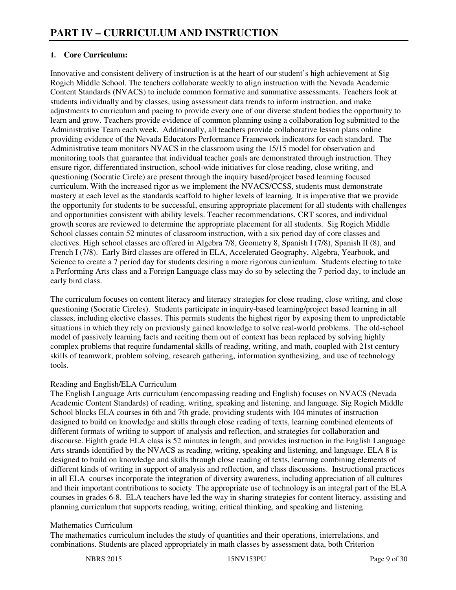# **1. Core Curriculum:**

Innovative and consistent delivery of instruction is at the heart of our student's high achievement at Sig Rogich Middle School. The teachers collaborate weekly to align instruction with the Nevada Academic Content Standards (NVACS) to include common formative and summative assessments. Teachers look at students individually and by classes, using assessment data trends to inform instruction, and make adjustments to curriculum and pacing to provide every one of our diverse student bodies the opportunity to learn and grow. Teachers provide evidence of common planning using a collaboration log submitted to the Administrative Team each week. Additionally, all teachers provide collaborative lesson plans online providing evidence of the Nevada Educators Performance Framework indicators for each standard. The Administrative team monitors NVACS in the classroom using the 15/15 model for observation and monitoring tools that guarantee that individual teacher goals are demonstrated through instruction. They ensure rigor, differentiated instruction, school-wide initiatives for close reading, close writing, and questioning (Socratic Circle) are present through the inquiry based/project based learning focused curriculum. With the increased rigor as we implement the NVACS/CCSS, students must demonstrate mastery at each level as the standards scaffold to higher levels of learning. It is imperative that we provide the opportunity for students to be successful, ensuring appropriate placement for all students with challenges and opportunities consistent with ability levels. Teacher recommendations, CRT scores, and individual growth scores are reviewed to determine the appropriate placement for all students. Sig Rogich Middle School classes contain 52 minutes of classroom instruction, with a six period day of core classes and electives. High school classes are offered in Algebra 7/8, Geometry 8, Spanish I (7/8), Spanish II (8), and French I (7/8). Early Bird classes are offered in ELA, Accelerated Geography, Algebra, Yearbook, and Science to create a 7 period day for students desiring a more rigorous curriculum. Students electing to take a Performing Arts class and a Foreign Language class may do so by selecting the 7 period day, to include an early bird class.

The curriculum focuses on content literacy and literacy strategies for close reading, close writing, and close questioning (Socratic Circles). Students participate in inquiry-based learning/project based learning in all classes, including elective classes. This permits students the highest rigor by exposing them to unpredictable situations in which they rely on previously gained knowledge to solve real-world problems. The old-school model of passively learning facts and reciting them out of context has been replaced by solving highly complex problems that require fundamental skills of reading, writing, and math, coupled with 21st century skills of teamwork, problem solving, research gathering, information synthesizing, and use of technology tools.

# Reading and English/ELA Curriculum

The English Language Arts curriculum (encompassing reading and English) focuses on NVACS (Nevada Academic Content Standards) of reading, writing, speaking and listening, and language. Sig Rogich Middle School blocks ELA courses in 6th and 7th grade, providing students with 104 minutes of instruction designed to build on knowledge and skills through close reading of texts, learning combined elements of different formats of writing to support of analysis and reflection, and strategies for collaboration and discourse. Eighth grade ELA class is 52 minutes in length, and provides instruction in the English Language Arts strands identified by the NVACS as reading, writing, speaking and listening, and language. ELA 8 is designed to build on knowledge and skills through close reading of texts, learning combining elements of different kinds of writing in support of analysis and reflection, and class discussions. Instructional practices in all ELA courses incorporate the integration of diversity awareness, including appreciation of all cultures and their important contributions to society. The appropriate use of technology is an integral part of the ELA courses in grades 6-8. ELA teachers have led the way in sharing strategies for content literacy, assisting and planning curriculum that supports reading, writing, critical thinking, and speaking and listening.

# Mathematics Curriculum

The mathematics curriculum includes the study of quantities and their operations, interrelations, and combinations. Students are placed appropriately in math classes by assessment data, both Criterion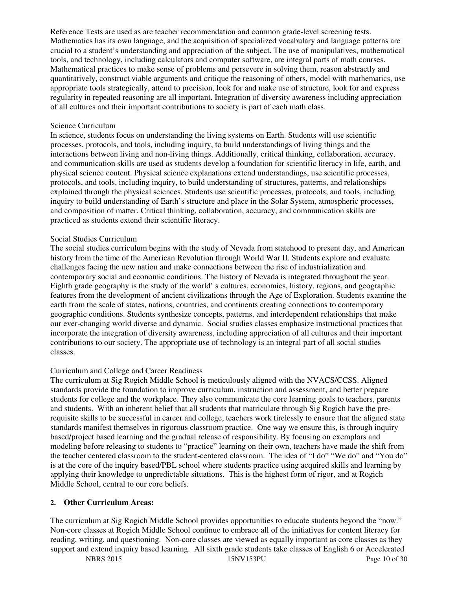Reference Tests are used as are teacher recommendation and common grade-level screening tests. Mathematics has its own language, and the acquisition of specialized vocabulary and language patterns are crucial to a student's understanding and appreciation of the subject. The use of manipulatives, mathematical tools, and technology, including calculators and computer software, are integral parts of math courses. Mathematical practices to make sense of problems and persevere in solving them, reason abstractly and quantitatively, construct viable arguments and critique the reasoning of others, model with mathematics, use appropriate tools strategically, attend to precision, look for and make use of structure, look for and express regularity in repeated reasoning are all important. Integration of diversity awareness including appreciation of all cultures and their important contributions to society is part of each math class.

#### Science Curriculum

In science, students focus on understanding the living systems on Earth. Students will use scientific processes, protocols, and tools, including inquiry, to build understandings of living things and the interactions between living and non-living things. Additionally, critical thinking, collaboration, accuracy, and communication skills are used as students develop a foundation for scientific literacy in life, earth, and physical science content. Physical science explanations extend understandings, use scientific processes, protocols, and tools, including inquiry, to build understanding of structures, patterns, and relationships explained through the physical sciences. Students use scientific processes, protocols, and tools, including inquiry to build understanding of Earth's structure and place in the Solar System, atmospheric processes, and composition of matter. Critical thinking, collaboration, accuracy, and communication skills are practiced as students extend their scientific literacy.

#### Social Studies Curriculum

The social studies curriculum begins with the study of Nevada from statehood to present day, and American history from the time of the American Revolution through World War II. Students explore and evaluate challenges facing the new nation and make connections between the rise of industrialization and contemporary social and economic conditions. The history of Nevada is integrated throughout the year. Eighth grade geography is the study of the world' s cultures, economics, history, regions, and geographic features from the development of ancient civilizations through the Age of Exploration. Students examine the earth from the scale of states, nations, countries, and continents creating connections to contemporary geographic conditions. Students synthesize concepts, patterns, and interdependent relationships that make our ever-changing world diverse and dynamic. Social studies classes emphasize instructional practices that incorporate the integration of diversity awareness, including appreciation of all cultures and their important contributions to our society. The appropriate use of technology is an integral part of all social studies classes.

#### Curriculum and College and Career Readiness

The curriculum at Sig Rogich Middle School is meticulously aligned with the NVACS/CCSS. Aligned standards provide the foundation to improve curriculum, instruction and assessment, and better prepare students for college and the workplace. They also communicate the core learning goals to teachers, parents and students. With an inherent belief that all students that matriculate through Sig Rogich have the prerequisite skills to be successful in career and college, teachers work tirelessly to ensure that the aligned state standards manifest themselves in rigorous classroom practice. One way we ensure this, is through inquiry based/project based learning and the gradual release of responsibility. By focusing on exemplars and modeling before releasing to students to "practice" learning on their own, teachers have made the shift from the teacher centered classroom to the student-centered classroom. The idea of "I do" "We do" and "You do" is at the core of the inquiry based/PBL school where students practice using acquired skills and learning by applying their knowledge to unpredictable situations. This is the highest form of rigor, and at Rogich Middle School, central to our core beliefs.

#### **2. Other Curriculum Areas:**

The curriculum at Sig Rogich Middle School provides opportunities to educate students beyond the "now." Non-core classes at Rogich Middle School continue to embrace all of the initiatives for content literacy for reading, writing, and questioning. Non-core classes are viewed as equally important as core classes as they support and extend inquiry based learning. All sixth grade students take classes of English 6 or Accelerated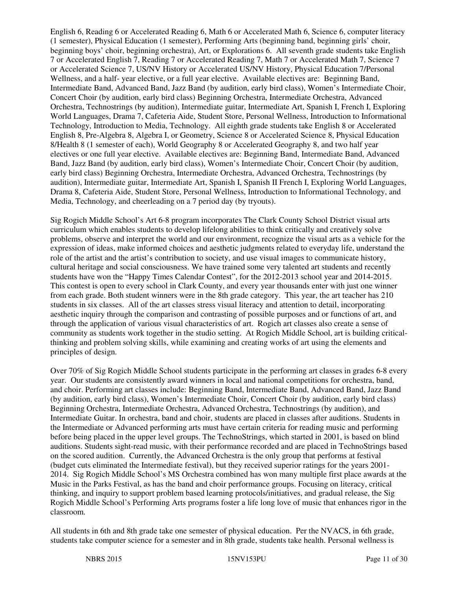English 6, Reading 6 or Accelerated Reading 6, Math 6 or Accelerated Math 6, Science 6, computer literacy (1 semester), Physical Education (1 semester), Performing Arts (beginning band, beginning girls' choir, beginning boys' choir, beginning orchestra), Art, or Explorations 6. All seventh grade students take English 7 or Accelerated English 7, Reading 7 or Accelerated Reading 7, Math 7 or Accelerated Math 7, Science 7 or Accelerated Science 7, US/NV History or Accelerated US/NV History, Physical Education 7/Personal Wellness, and a half- year elective, or a full year elective. Available electives are: Beginning Band, Intermediate Band, Advanced Band, Jazz Band (by audition, early bird class), Women's Intermediate Choir, Concert Choir (by audition, early bird class) Beginning Orchestra, Intermediate Orchestra, Advanced Orchestra, Technostrings (by audition), Intermediate guitar, Intermediate Art, Spanish I, French I, Exploring World Languages, Drama 7, Cafeteria Aide, Student Store, Personal Wellness, Introduction to Informational Technology, Introduction to Media, Technology. All eighth grade students take English 8 or Accelerated English 8, Pre-Algebra 8, Algebra I, or Geometry, Science 8 or Accelerated Science 8, Physical Education 8/Health 8 (1 semester of each), World Geography 8 or Accelerated Geography 8, and two half year electives or one full year elective. Available electives are: Beginning Band, Intermediate Band, Advanced Band, Jazz Band (by audition, early bird class), Women's Intermediate Choir, Concert Choir (by audition, early bird class) Beginning Orchestra, Intermediate Orchestra, Advanced Orchestra, Technostrings (by audition), Intermediate guitar, Intermediate Art, Spanish I, Spanish II French I, Exploring World Languages, Drama 8, Cafeteria Aide, Student Store, Personal Wellness, Introduction to Informational Technology, and Media, Technology, and cheerleading on a 7 period day (by tryouts).

Sig Rogich Middle School's Art 6-8 program incorporates The Clark County School District visual arts curriculum which enables students to develop lifelong abilities to think critically and creatively solve problems, observe and interpret the world and our environment, recognize the visual arts as a vehicle for the expression of ideas, make informed choices and aesthetic judgments related to everyday life, understand the role of the artist and the artist's contribution to society, and use visual images to communicate history, cultural heritage and social consciousness. We have trained some very talented art students and recently students have won the "Happy Times Calendar Contest", for the 2012-2013 school year and 2014-2015. This contest is open to every school in Clark County, and every year thousands enter with just one winner from each grade. Both student winners were in the 8th grade category. This year, the art teacher has 210 students in six classes. All of the art classes stress visual literacy and attention to detail, incorporating aesthetic inquiry through the comparison and contrasting of possible purposes and or functions of art, and through the application of various visual characteristics of art. Rogich art classes also create a sense of community as students work together in the studio setting. At Rogich Middle School, art is building criticalthinking and problem solving skills, while examining and creating works of art using the elements and principles of design.

Over 70% of Sig Rogich Middle School students participate in the performing art classes in grades 6-8 every year. Our students are consistently award winners in local and national competitions for orchestra, band, and choir. Performing art classes include: Beginning Band, Intermediate Band, Advanced Band, Jazz Band (by audition, early bird class), Women's Intermediate Choir, Concert Choir (by audition, early bird class) Beginning Orchestra, Intermediate Orchestra, Advanced Orchestra, Technostrings (by audition), and Intermediate Guitar. In orchestra, band and choir, students are placed in classes after auditions. Students in the Intermediate or Advanced performing arts must have certain criteria for reading music and performing before being placed in the upper level groups. The TechnoStrings, which started in 2001, is based on blind auditions. Students sight-read music, with their performance recorded and are placed in TechnoStrings based on the scored audition. Currently, the Advanced Orchestra is the only group that performs at festival (budget cuts eliminated the Intermediate festival), but they received superior ratings for the years 2001- 2014. Sig Rogich Middle School's MS Orchestra combined has won many multiple first place awards at the Music in the Parks Festival, as has the band and choir performance groups. Focusing on literacy, critical thinking, and inquiry to support problem based learning protocols/initiatives, and gradual release, the Sig Rogich Middle School's Performing Arts programs foster a life long love of music that enhances rigor in the classroom.

All students in 6th and 8th grade take one semester of physical education. Per the NVACS, in 6th grade, students take computer science for a semester and in 8th grade, students take health. Personal wellness is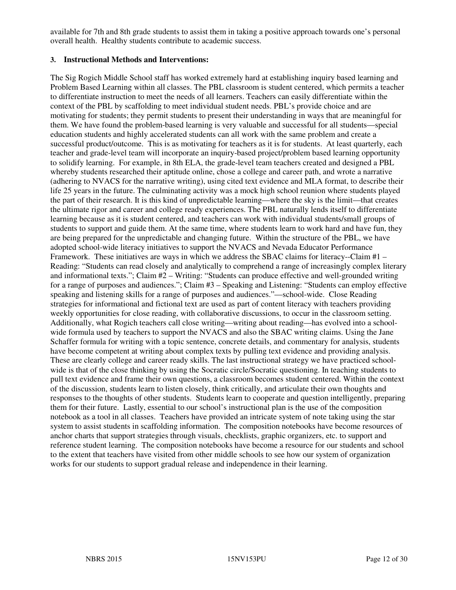available for 7th and 8th grade students to assist them in taking a positive approach towards one's personal overall health. Healthy students contribute to academic success.

#### **3. Instructional Methods and Interventions:**

The Sig Rogich Middle School staff has worked extremely hard at establishing inquiry based learning and Problem Based Learning within all classes. The PBL classroom is student centered, which permits a teacher to differentiate instruction to meet the needs of all learners. Teachers can easily differentiate within the context of the PBL by scaffolding to meet individual student needs. PBL's provide choice and are motivating for students; they permit students to present their understanding in ways that are meaningful for them. We have found the problem-based learning is very valuable and successful for all students—special education students and highly accelerated students can all work with the same problem and create a successful product/outcome. This is as motivating for teachers as it is for students. At least quarterly, each teacher and grade-level team will incorporate an inquiry-based project/problem based learning opportunity to solidify learning. For example, in 8th ELA, the grade-level team teachers created and designed a PBL whereby students researched their aptitude online, chose a college and career path, and wrote a narrative (adhering to NVACS for the narrative writing), using cited text evidence and MLA format, to describe their life 25 years in the future. The culminating activity was a mock high school reunion where students played the part of their research. It is this kind of unpredictable learning—where the sky is the limit—that creates the ultimate rigor and career and college ready experiences. The PBL naturally lends itself to differentiate learning because as it is student centered, and teachers can work with individual students/small groups of students to support and guide them. At the same time, where students learn to work hard and have fun, they are being prepared for the unpredictable and changing future. Within the structure of the PBL, we have adopted school-wide literacy initiatives to support the NVACS and Nevada Educator Performance Framework. These initiatives are ways in which we address the SBAC claims for literacy--Claim #1 – Reading: "Students can read closely and analytically to comprehend a range of increasingly complex literary and informational texts."; Claim #2 – Writing: "Students can produce effective and well-grounded writing for a range of purposes and audiences."; Claim #3 – Speaking and Listening: "Students can employ effective speaking and listening skills for a range of purposes and audiences."—school-wide. Close Reading strategies for informational and fictional text are used as part of content literacy with teachers providing weekly opportunities for close reading, with collaborative discussions, to occur in the classroom setting. Additionally, what Rogich teachers call close writing—writing about reading—has evolved into a schoolwide formula used by teachers to support the NVACS and also the SBAC writing claims. Using the Jane Schaffer formula for writing with a topic sentence, concrete details, and commentary for analysis, students have become competent at writing about complex texts by pulling text evidence and providing analysis. These are clearly college and career ready skills. The last instructional strategy we have practiced schoolwide is that of the close thinking by using the Socratic circle/Socratic questioning. In teaching students to pull text evidence and frame their own questions, a classroom becomes student centered. Within the context of the discussion, students learn to listen closely, think critically, and articulate their own thoughts and responses to the thoughts of other students. Students learn to cooperate and question intelligently, preparing them for their future. Lastly, essential to our school's instructional plan is the use of the composition notebook as a tool in all classes. Teachers have provided an intricate system of note taking using the star system to assist students in scaffolding information. The composition notebooks have become resources of anchor charts that support strategies through visuals, checklists, graphic organizers, etc. to support and reference student learning. The composition notebooks have become a resource for our students and school to the extent that teachers have visited from other middle schools to see how our system of organization works for our students to support gradual release and independence in their learning.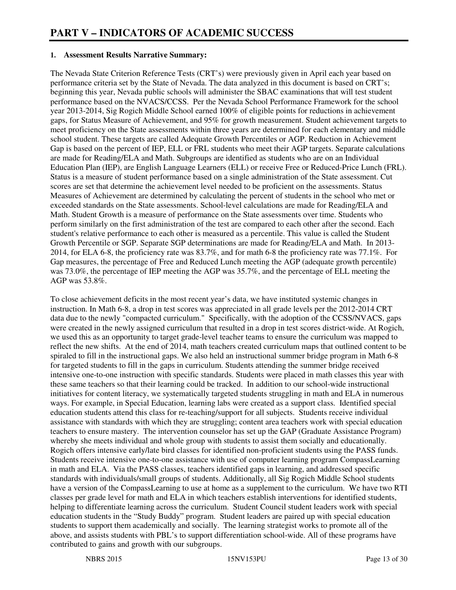#### **1. Assessment Results Narrative Summary:**

The Nevada State Criterion Reference Tests (CRT's) were previously given in April each year based on performance criteria set by the State of Nevada. The data analyzed in this document is based on CRT's; beginning this year, Nevada public schools will administer the SBAC examinations that will test student performance based on the NVACS/CCSS. Per the Nevada School Performance Framework for the school year 2013-2014, Sig Rogich Middle School earned 100% of eligible points for reductions in achievement gaps, for Status Measure of Achievement, and 95% for growth measurement. Student achievement targets to meet proficiency on the State assessments within three years are determined for each elementary and middle school student. These targets are called Adequate Growth Percentiles or AGP. Reduction in Achievement Gap is based on the percent of IEP, ELL or FRL students who meet their AGP targets. Separate calculations are made for Reading/ELA and Math. Subgroups are identified as students who are on an Individual Education Plan (IEP), are English Language Learners (ELL) or receive Free or Reduced-Price Lunch (FRL). Status is a measure of student performance based on a single administration of the State assessment. Cut scores are set that determine the achievement level needed to be proficient on the assessments. Status Measures of Achievement are determined by calculating the percent of students in the school who met or exceeded standards on the State assessments. School-level calculations are made for Reading/ELA and Math. Student Growth is a measure of performance on the State assessments over time. Students who perform similarly on the first administration of the test are compared to each other after the second. Each student's relative performance to each other is measured as a percentile. This value is called the Student Growth Percentile or SGP. Separate SGP determinations are made for Reading/ELA and Math. In 2013- 2014, for ELA 6-8, the proficiency rate was 83.7%, and for math 6-8 the proficiency rate was 77.1%. For Gap measures, the percentage of Free and Reduced Lunch meeting the AGP (adequate growth percentile) was 73.0%, the percentage of IEP meeting the AGP was 35.7%, and the percentage of ELL meeting the AGP was 53.8%.

To close achievement deficits in the most recent year's data, we have instituted systemic changes in instruction. In Math 6-8, a drop in test scores was appreciated in all grade levels per the 2012-2014 CRT data due to the newly "compacted curriculum." Specifically, with the adoption of the CCSS/NVACS, gaps were created in the newly assigned curriculum that resulted in a drop in test scores district-wide. At Rogich, we used this as an opportunity to target grade-level teacher teams to ensure the curriculum was mapped to reflect the new shifts. At the end of 2014, math teachers created curriculum maps that outlined content to be spiraled to fill in the instructional gaps. We also held an instructional summer bridge program in Math 6-8 for targeted students to fill in the gaps in curriculum. Students attending the summer bridge received intensive one-to-one instruction with specific standards. Students were placed in math classes this year with these same teachers so that their learning could be tracked. In addition to our school-wide instructional initiatives for content literacy, we systematically targeted students struggling in math and ELA in numerous ways. For example, in Special Education, learning labs were created as a support class. Identified special education students attend this class for re-teaching/support for all subjects. Students receive individual assistance with standards with which they are struggling; content area teachers work with special education teachers to ensure mastery. The intervention counselor has set up the GAP (Graduate Assistance Program) whereby she meets individual and whole group with students to assist them socially and educationally. Rogich offers intensive early/late bird classes for identified non-proficient students using the PASS funds. Students receive intensive one-to-one assistance with use of computer learning program CompassLearning in math and ELA. Via the PASS classes, teachers identified gaps in learning, and addressed specific standards with individuals/small groups of students. Additionally, all Sig Rogich Middle School students have a version of the CompassLearning to use at home as a supplement to the curriculum. We have two RTI classes per grade level for math and ELA in which teachers establish interventions for identified students, helping to differentiate learning across the curriculum. Student Council student leaders work with special education students in the "Study Buddy" program. Student leaders are paired up with special education students to support them academically and socially. The learning strategist works to promote all of the above, and assists students with PBL's to support differentiation school-wide. All of these programs have contributed to gains and growth with our subgroups.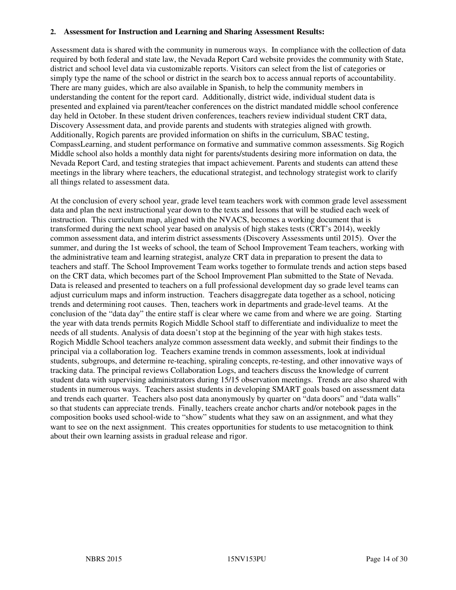#### **2. Assessment for Instruction and Learning and Sharing Assessment Results:**

Assessment data is shared with the community in numerous ways. In compliance with the collection of data required by both federal and state law, the Nevada Report Card website provides the community with State, district and school level data via customizable reports. Visitors can select from the list of categories or simply type the name of the school or district in the search box to access annual reports of accountability. There are many guides, which are also available in Spanish, to help the community members in understanding the content for the report card. Additionally, district wide, individual student data is presented and explained via parent/teacher conferences on the district mandated middle school conference day held in October. In these student driven conferences, teachers review individual student CRT data, Discovery Assessment data, and provide parents and students with strategies aligned with growth. Additionally, Rogich parents are provided information on shifts in the curriculum, SBAC testing, CompassLearning, and student performance on formative and summative common assessments. Sig Rogich Middle school also holds a monthly data night for parents/students desiring more information on data, the Nevada Report Card, and testing strategies that impact achievement. Parents and students can attend these meetings in the library where teachers, the educational strategist, and technology strategist work to clarify all things related to assessment data.

At the conclusion of every school year, grade level team teachers work with common grade level assessment data and plan the next instructional year down to the texts and lessons that will be studied each week of instruction. This curriculum map, aligned with the NVACS, becomes a working document that is transformed during the next school year based on analysis of high stakes tests (CRT's 2014), weekly common assessment data, and interim district assessments (Discovery Assessments until 2015). Over the summer, and during the 1st weeks of school, the team of School Improvement Team teachers, working with the administrative team and learning strategist, analyze CRT data in preparation to present the data to teachers and staff. The School Improvement Team works together to formulate trends and action steps based on the CRT data, which becomes part of the School Improvement Plan submitted to the State of Nevada. Data is released and presented to teachers on a full professional development day so grade level teams can adjust curriculum maps and inform instruction. Teachers disaggregate data together as a school, noticing trends and determining root causes. Then, teachers work in departments and grade-level teams. At the conclusion of the "data day" the entire staff is clear where we came from and where we are going. Starting the year with data trends permits Rogich Middle School staff to differentiate and individualize to meet the needs of all students. Analysis of data doesn't stop at the beginning of the year with high stakes tests. Rogich Middle School teachers analyze common assessment data weekly, and submit their findings to the principal via a collaboration log. Teachers examine trends in common assessments, look at individual students, subgroups, and determine re-teaching, spiraling concepts, re-testing, and other innovative ways of tracking data. The principal reviews Collaboration Logs, and teachers discuss the knowledge of current student data with supervising administrators during 15/15 observation meetings. Trends are also shared with students in numerous ways. Teachers assist students in developing SMART goals based on assessment data and trends each quarter. Teachers also post data anonymously by quarter on "data doors" and "data walls" so that students can appreciate trends. Finally, teachers create anchor charts and/or notebook pages in the composition books used school-wide to "show" students what they saw on an assignment, and what they want to see on the next assignment. This creates opportunities for students to use metacognition to think about their own learning assists in gradual release and rigor.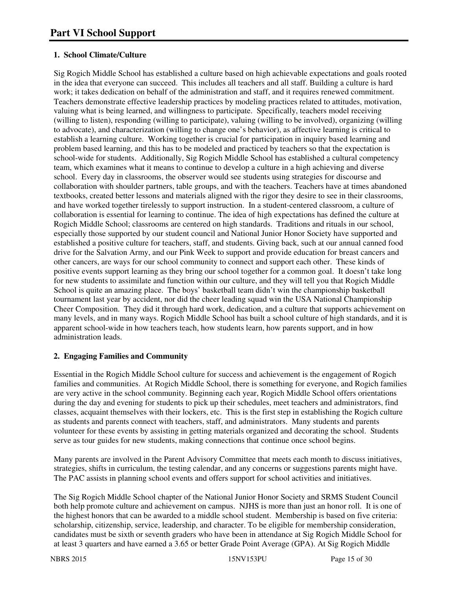# **1. School Climate/Culture**

Sig Rogich Middle School has established a culture based on high achievable expectations and goals rooted in the idea that everyone can succeed. This includes all teachers and all staff. Building a culture is hard work; it takes dedication on behalf of the administration and staff, and it requires renewed commitment. Teachers demonstrate effective leadership practices by modeling practices related to attitudes, motivation, valuing what is being learned, and willingness to participate. Specifically, teachers model receiving (willing to listen), responding (willing to participate), valuing (willing to be involved), organizing (willing to advocate), and characterization (willing to change one's behavior), as affective learning is critical to establish a learning culture. Working together is crucial for participation in inquiry based learning and problem based learning, and this has to be modeled and practiced by teachers so that the expectation is school-wide for students. Additionally, Sig Rogich Middle School has established a cultural competency team, which examines what it means to continue to develop a culture in a high achieving and diverse school. Every day in classrooms, the observer would see students using strategies for discourse and collaboration with shoulder partners, table groups, and with the teachers. Teachers have at times abandoned textbooks, created better lessons and materials aligned with the rigor they desire to see in their classrooms, and have worked together tirelessly to support instruction. In a student-centered classroom, a culture of collaboration is essential for learning to continue. The idea of high expectations has defined the culture at Rogich Middle School; classrooms are centered on high standards. Traditions and rituals in our school, especially those supported by our student council and National Junior Honor Society have supported and established a positive culture for teachers, staff, and students. Giving back, such at our annual canned food drive for the Salvation Army, and our Pink Week to support and provide education for breast cancers and other cancers, are ways for our school community to connect and support each other. These kinds of positive events support learning as they bring our school together for a common goal. It doesn't take long for new students to assimilate and function within our culture, and they will tell you that Rogich Middle School is quite an amazing place. The boys' basketball team didn't win the championship basketball tournament last year by accident, nor did the cheer leading squad win the USA National Championship Cheer Composition. They did it through hard work, dedication, and a culture that supports achievement on many levels, and in many ways. Rogich Middle School has built a school culture of high standards, and it is apparent school-wide in how teachers teach, how students learn, how parents support, and in how administration leads.

# **2. Engaging Families and Community**

Essential in the Rogich Middle School culture for success and achievement is the engagement of Rogich families and communities. At Rogich Middle School, there is something for everyone, and Rogich families are very active in the school community. Beginning each year, Rogich Middle School offers orientations during the day and evening for students to pick up their schedules, meet teachers and administrators, find classes, acquaint themselves with their lockers, etc. This is the first step in establishing the Rogich culture as students and parents connect with teachers, staff, and administrators. Many students and parents volunteer for these events by assisting in getting materials organized and decorating the school. Students serve as tour guides for new students, making connections that continue once school begins.

Many parents are involved in the Parent Advisory Committee that meets each month to discuss initiatives, strategies, shifts in curriculum, the testing calendar, and any concerns or suggestions parents might have. The PAC assists in planning school events and offers support for school activities and initiatives.

The Sig Rogich Middle School chapter of the National Junior Honor Society and SRMS Student Council both help promote culture and achievement on campus. NJHS is more than just an honor roll. It is one of the highest honors that can be awarded to a middle school student. Membership is based on five criteria: scholarship, citizenship, service, leadership, and character. To be eligible for membership consideration, candidates must be sixth or seventh graders who have been in attendance at Sig Rogich Middle School for at least 3 quarters and have earned a 3.65 or better Grade Point Average (GPA). At Sig Rogich Middle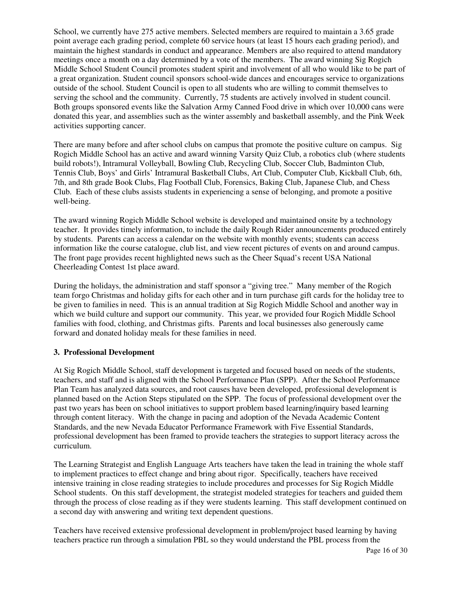School, we currently have 275 active members. Selected members are required to maintain a 3.65 grade point average each grading period, complete 60 service hours (at least 15 hours each grading period), and maintain the highest standards in conduct and appearance. Members are also required to attend mandatory meetings once a month on a day determined by a vote of the members. The award winning Sig Rogich Middle School Student Council promotes student spirit and involvement of all who would like to be part of a great organization. Student council sponsors school-wide dances and encourages service to organizations outside of the school. Student Council is open to all students who are willing to commit themselves to serving the school and the community. Currently, 75 students are actively involved in student council. Both groups sponsored events like the Salvation Army Canned Food drive in which over 10,000 cans were donated this year, and assemblies such as the winter assembly and basketball assembly, and the Pink Week activities supporting cancer.

There are many before and after school clubs on campus that promote the positive culture on campus. Sig Rogich Middle School has an active and award winning Varsity Quiz Club, a robotics club (where students build robots!), Intramural Volleyball, Bowling Club, Recycling Club, Soccer Club, Badminton Club, Tennis Club, Boys' and Girls' Intramural Basketball Clubs, Art Club, Computer Club, Kickball Club, 6th, 7th, and 8th grade Book Clubs, Flag Football Club, Forensics, Baking Club, Japanese Club, and Chess Club. Each of these clubs assists students in experiencing a sense of belonging, and promote a positive well-being.

The award winning Rogich Middle School website is developed and maintained onsite by a technology teacher. It provides timely information, to include the daily Rough Rider announcements produced entirely by students. Parents can access a calendar on the website with monthly events; students can access information like the course catalogue, club list, and view recent pictures of events on and around campus. The front page provides recent highlighted news such as the Cheer Squad's recent USA National Cheerleading Contest 1st place award.

During the holidays, the administration and staff sponsor a "giving tree." Many member of the Rogich team forgo Christmas and holiday gifts for each other and in turn purchase gift cards for the holiday tree to be given to families in need. This is an annual tradition at Sig Rogich Middle School and another way in which we build culture and support our community. This year, we provided four Rogich Middle School families with food, clothing, and Christmas gifts. Parents and local businesses also generously came forward and donated holiday meals for these families in need.

#### **3. Professional Development**

At Sig Rogich Middle School, staff development is targeted and focused based on needs of the students, teachers, and staff and is aligned with the School Performance Plan (SPP). After the School Performance Plan Team has analyzed data sources, and root causes have been developed, professional development is planned based on the Action Steps stipulated on the SPP. The focus of professional development over the past two years has been on school initiatives to support problem based learning/inquiry based learning through content literacy. With the change in pacing and adoption of the Nevada Academic Content Standards, and the new Nevada Educator Performance Framework with Five Essential Standards, professional development has been framed to provide teachers the strategies to support literacy across the curriculum.

The Learning Strategist and English Language Arts teachers have taken the lead in training the whole staff to implement practices to effect change and bring about rigor. Specifically, teachers have received intensive training in close reading strategies to include procedures and processes for Sig Rogich Middle School students. On this staff development, the strategist modeled strategies for teachers and guided them through the process of close reading as if they were students learning. This staff development continued on a second day with answering and writing text dependent questions.

Teachers have received extensive professional development in problem/project based learning by having teachers practice run through a simulation PBL so they would understand the PBL process from the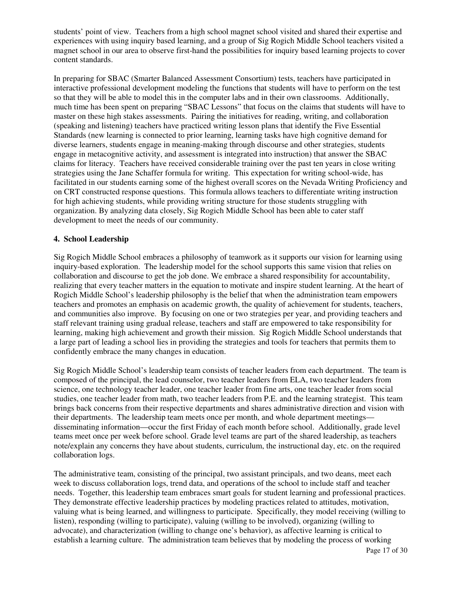students' point of view. Teachers from a high school magnet school visited and shared their expertise and experiences with using inquiry based learning, and a group of Sig Rogich Middle School teachers visited a magnet school in our area to observe first-hand the possibilities for inquiry based learning projects to cover content standards.

In preparing for SBAC (Smarter Balanced Assessment Consortium) tests, teachers have participated in interactive professional development modeling the functions that students will have to perform on the test so that they will be able to model this in the computer labs and in their own classrooms. Additionally, much time has been spent on preparing "SBAC Lessons" that focus on the claims that students will have to master on these high stakes assessments. Pairing the initiatives for reading, writing, and collaboration (speaking and listening) teachers have practiced writing lesson plans that identify the Five Essential Standards (new learning is connected to prior learning, learning tasks have high cognitive demand for diverse learners, students engage in meaning-making through discourse and other strategies, students engage in metacognitive activity, and assessment is integrated into instruction) that answer the SBAC claims for literacy. Teachers have received considerable training over the past ten years in close writing strategies using the Jane Schaffer formula for writing. This expectation for writing school-wide, has facilitated in our students earning some of the highest overall scores on the Nevada Writing Proficiency and on CRT constructed response questions. This formula allows teachers to differentiate writing instruction for high achieving students, while providing writing structure for those students struggling with organization. By analyzing data closely, Sig Rogich Middle School has been able to cater staff development to meet the needs of our community.

#### **4. School Leadership**

Sig Rogich Middle School embraces a philosophy of teamwork as it supports our vision for learning using inquiry-based exploration. The leadership model for the school supports this same vision that relies on collaboration and discourse to get the job done. We embrace a shared responsibility for accountability, realizing that every teacher matters in the equation to motivate and inspire student learning. At the heart of Rogich Middle School's leadership philosophy is the belief that when the administration team empowers teachers and promotes an emphasis on academic growth, the quality of achievement for students, teachers, and communities also improve. By focusing on one or two strategies per year, and providing teachers and staff relevant training using gradual release, teachers and staff are empowered to take responsibility for learning, making high achievement and growth their mission. Sig Rogich Middle School understands that a large part of leading a school lies in providing the strategies and tools for teachers that permits them to confidently embrace the many changes in education.

Sig Rogich Middle School's leadership team consists of teacher leaders from each department. The team is composed of the principal, the lead counselor, two teacher leaders from ELA, two teacher leaders from science, one technology teacher leader, one teacher leader from fine arts, one teacher leader from social studies, one teacher leader from math, two teacher leaders from P.E. and the learning strategist. This team brings back concerns from their respective departments and shares administrative direction and vision with their departments. The leadership team meets once per month, and whole department meetings disseminating information—occur the first Friday of each month before school. Additionally, grade level teams meet once per week before school. Grade level teams are part of the shared leadership, as teachers note/explain any concerns they have about students, curriculum, the instructional day, etc. on the required collaboration logs.

The administrative team, consisting of the principal, two assistant principals, and two deans, meet each week to discuss collaboration logs, trend data, and operations of the school to include staff and teacher needs. Together, this leadership team embraces smart goals for student learning and professional practices. They demonstrate effective leadership practices by modeling practices related to attitudes, motivation, valuing what is being learned, and willingness to participate. Specifically, they model receiving (willing to listen), responding (willing to participate), valuing (willing to be involved), organizing (willing to advocate), and characterization (willing to change one's behavior), as affective learning is critical to establish a learning culture. The administration team believes that by modeling the process of working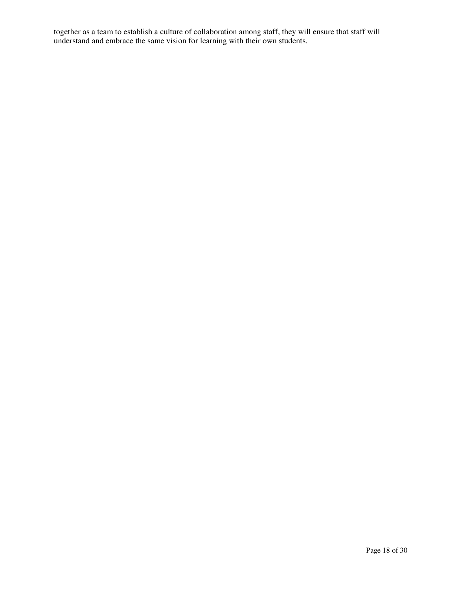together as a team to establish a culture of collaboration among staff, they will ensure that staff will understand and embrace the same vision for learning with their own students.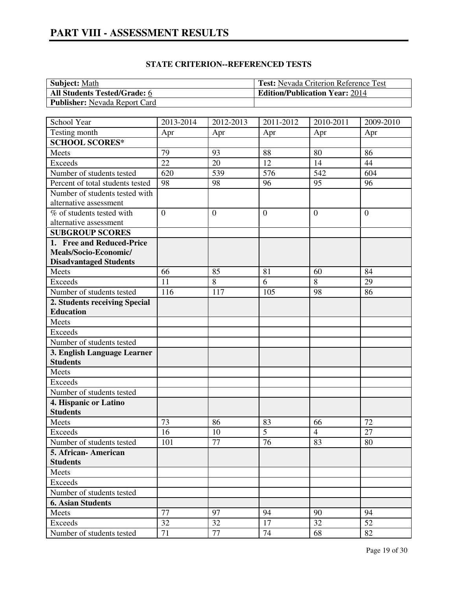| <b>Subject:</b> Math                 | <b>Test:</b> Nevada Criterion Reference Test |
|--------------------------------------|----------------------------------------------|
| <b>All Students Tested/Grade: 6</b>  | <b>Edition/Publication Year: 2014</b>        |
| <b>Publisher:</b> Nevada Report Card |                                              |

| School Year                      | 2013-2014      | 2012-2013        | 2011-2012    | 2010-2011      | 2009-2010      |
|----------------------------------|----------------|------------------|--------------|----------------|----------------|
| Testing month                    | Apr            | Apr              | Apr          | Apr            | Apr            |
| <b>SCHOOL SCORES*</b>            |                |                  |              |                |                |
| Meets                            | 79             | 93               | 88           | 80             | 86             |
| <b>Exceeds</b>                   | 22             | 20               | 12           | 14             | 44             |
| Number of students tested        | 620            | 539              | 576          | 542            | 604            |
| Percent of total students tested | 98             | 98               | 96           | 95             | 96             |
| Number of students tested with   |                |                  |              |                |                |
| alternative assessment           |                |                  |              |                |                |
| % of students tested with        | $\overline{0}$ | $\boldsymbol{0}$ | $\mathbf{0}$ | $\theta$       | $\overline{0}$ |
| alternative assessment           |                |                  |              |                |                |
| <b>SUBGROUP SCORES</b>           |                |                  |              |                |                |
| 1. Free and Reduced-Price        |                |                  |              |                |                |
| Meals/Socio-Economic/            |                |                  |              |                |                |
| <b>Disadvantaged Students</b>    |                |                  |              |                |                |
| Meets                            | 66             | 85               | 81           | 60             | 84             |
| <b>Exceeds</b>                   | 11             | 8                | 6            | 8              | 29             |
| Number of students tested        | 116            | 117              | 105          | 98             | 86             |
| 2. Students receiving Special    |                |                  |              |                |                |
| <b>Education</b>                 |                |                  |              |                |                |
| Meets                            |                |                  |              |                |                |
| <b>Exceeds</b>                   |                |                  |              |                |                |
| Number of students tested        |                |                  |              |                |                |
| 3. English Language Learner      |                |                  |              |                |                |
| <b>Students</b>                  |                |                  |              |                |                |
| Meets                            |                |                  |              |                |                |
| <b>Exceeds</b>                   |                |                  |              |                |                |
| Number of students tested        |                |                  |              |                |                |
| 4. Hispanic or Latino            |                |                  |              |                |                |
| <b>Students</b>                  |                |                  |              |                |                |
| Meets                            | 73             | 86               | 83           | 66             | 72             |
| <b>Exceeds</b>                   | 16             | 10               | 5            | $\overline{4}$ | 27             |
| Number of students tested        | 101            | 77               | 76           | 83             | 80             |
| 5. African- American             |                |                  |              |                |                |
| <b>Students</b>                  |                |                  |              |                |                |
| Meets                            |                |                  |              |                |                |
| Exceeds                          |                |                  |              |                |                |
| Number of students tested        |                |                  |              |                |                |
| <b>6. Asian Students</b>         |                |                  |              |                |                |
| Meets                            | 77             | 97               | 94           | 90             | 94             |
| Exceeds                          | 32             | 32               | 17           | 32             | 52             |
| Number of students tested        | 71             | 77               | 74           | 68             | 82             |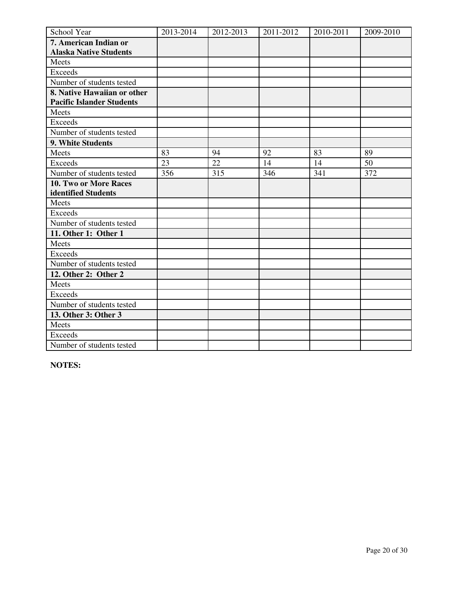| School Year                      | 2013-2014 | 2012-2013 | 2011-2012 | 2010-2011 | 2009-2010 |
|----------------------------------|-----------|-----------|-----------|-----------|-----------|
| 7. American Indian or            |           |           |           |           |           |
| <b>Alaska Native Students</b>    |           |           |           |           |           |
| Meets                            |           |           |           |           |           |
| <b>Exceeds</b>                   |           |           |           |           |           |
| Number of students tested        |           |           |           |           |           |
| 8. Native Hawaiian or other      |           |           |           |           |           |
| <b>Pacific Islander Students</b> |           |           |           |           |           |
| Meets                            |           |           |           |           |           |
| <b>Exceeds</b>                   |           |           |           |           |           |
| Number of students tested        |           |           |           |           |           |
| 9. White Students                |           |           |           |           |           |
| Meets                            | 83        | 94        | 92        | 83        | 89        |
| <b>Exceeds</b>                   | 23        | 22        | 14        | 14        | 50        |
| Number of students tested        | 356       | 315       | 346       | 341       | 372       |
| 10. Two or More Races            |           |           |           |           |           |
| identified Students              |           |           |           |           |           |
| Meets                            |           |           |           |           |           |
| <b>Exceeds</b>                   |           |           |           |           |           |
| Number of students tested        |           |           |           |           |           |
| 11. Other 1: Other 1             |           |           |           |           |           |
| Meets                            |           |           |           |           |           |
| Exceeds                          |           |           |           |           |           |
| Number of students tested        |           |           |           |           |           |
| 12. Other 2: Other 2             |           |           |           |           |           |
| Meets                            |           |           |           |           |           |
| Exceeds                          |           |           |           |           |           |
| Number of students tested        |           |           |           |           |           |
| 13. Other 3: Other 3             |           |           |           |           |           |
| Meets                            |           |           |           |           |           |
| Exceeds                          |           |           |           |           |           |
| Number of students tested        |           |           |           |           |           |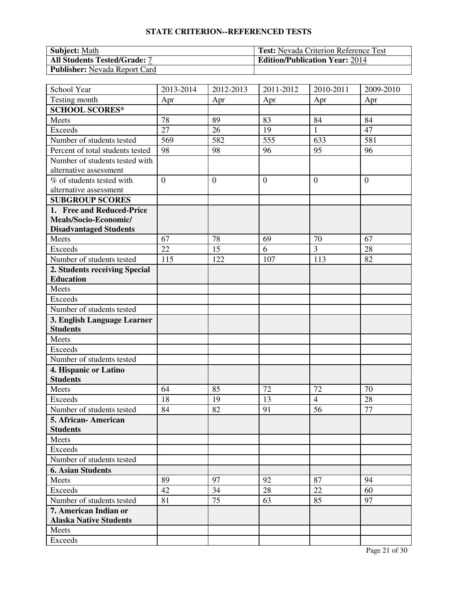| <b>Subject:</b> Math                 | <b>Test:</b> Nevada Criterion Reference Test |
|--------------------------------------|----------------------------------------------|
| <b>All Students Tested/Grade: 7</b>  | <b>Edition/Publication Year: 2014</b>        |
| <b>Publisher:</b> Nevada Report Card |                                              |

| School Year                                      | 2013-2014      | 2012-2013      | 2011-2012        | 2010-2011      | 2009-2010      |
|--------------------------------------------------|----------------|----------------|------------------|----------------|----------------|
| Testing month                                    | Apr            | Apr            | Apr              | Apr            | Apr            |
| <b>SCHOOL SCORES*</b>                            |                |                |                  |                |                |
| Meets                                            | 78             | 89             | 83               | 84             | 84             |
| <b>Exceeds</b>                                   | 27             | 26             | 19               | $\mathbf{1}$   | 47             |
| Number of students tested                        | 569            | 582            | $\overline{555}$ | 633            | 581            |
| Percent of total students tested                 | 98             | 98             | 96               | 95             | 96             |
| Number of students tested with                   |                |                |                  |                |                |
| alternative assessment                           |                |                |                  |                |                |
| % of students tested with                        | $\overline{0}$ | $\overline{0}$ | $\overline{0}$   | $\mathbf{0}$   | $\overline{0}$ |
| alternative assessment                           |                |                |                  |                |                |
| <b>SUBGROUP SCORES</b>                           |                |                |                  |                |                |
| 1. Free and Reduced-Price                        |                |                |                  |                |                |
| Meals/Socio-Economic/                            |                |                |                  |                |                |
| <b>Disadvantaged Students</b>                    |                |                |                  |                |                |
| Meets                                            | 67             | 78             | 69               | 70             | 67             |
| <b>Exceeds</b>                                   | 22             | 15             | 6                | 3              | 28             |
| Number of students tested                        | 115            | 122            | 107              | 113            | 82             |
| 2. Students receiving Special                    |                |                |                  |                |                |
| <b>Education</b>                                 |                |                |                  |                |                |
| Meets                                            |                |                |                  |                |                |
| <b>Exceeds</b>                                   |                |                |                  |                |                |
| Number of students tested                        |                |                |                  |                |                |
| 3. English Language Learner                      |                |                |                  |                |                |
| <b>Students</b>                                  |                |                |                  |                |                |
| Meets                                            |                |                |                  |                |                |
| Exceeds                                          |                |                |                  |                |                |
| Number of students tested                        |                |                |                  |                |                |
| 4. Hispanic or Latino<br><b>Students</b>         |                |                |                  |                |                |
| Meets                                            | 64             | 85             | 72               | 72             | 70             |
|                                                  |                |                | 13               | $\overline{4}$ |                |
| Exceeds                                          | 18<br>84       | 19<br>82       | 91               | 56             | 28<br>77       |
| Number of students tested<br>5. African-American |                |                |                  |                |                |
| <b>Students</b>                                  |                |                |                  |                |                |
| Meets                                            |                |                |                  |                |                |
| Exceeds                                          |                |                |                  |                |                |
| Number of students tested                        |                |                |                  |                |                |
| <b>6. Asian Students</b>                         |                |                |                  |                |                |
| Meets                                            | 89             | 97             | 92               | 87             | 94             |
| Exceeds                                          | 42             | 34             | 28               | 22             | 60             |
| Number of students tested                        | 81             | 75             | 63               | 85             | 97             |
| 7. American Indian or                            |                |                |                  |                |                |
| <b>Alaska Native Students</b>                    |                |                |                  |                |                |
| Meets                                            |                |                |                  |                |                |
| Exceeds                                          |                |                |                  |                |                |
|                                                  |                |                |                  |                |                |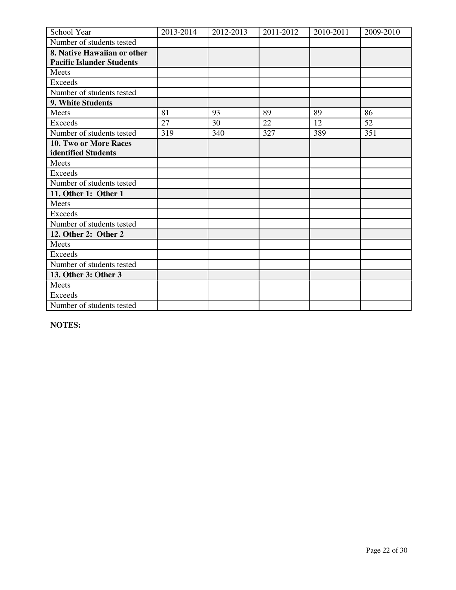| School Year                      | 2013-2014 | 2012-2013 | 2011-2012 | 2010-2011 | 2009-2010 |
|----------------------------------|-----------|-----------|-----------|-----------|-----------|
| Number of students tested        |           |           |           |           |           |
| 8. Native Hawaiian or other      |           |           |           |           |           |
| <b>Pacific Islander Students</b> |           |           |           |           |           |
| Meets                            |           |           |           |           |           |
| <b>Exceeds</b>                   |           |           |           |           |           |
| Number of students tested        |           |           |           |           |           |
| 9. White Students                |           |           |           |           |           |
| Meets                            | 81        | 93        | 89        | 89        | 86        |
| <b>Exceeds</b>                   | 27        | 30        | 22        | 12        | 52        |
| Number of students tested        | 319       | 340       | 327       | 389       | 351       |
| <b>10. Two or More Races</b>     |           |           |           |           |           |
| identified Students              |           |           |           |           |           |
| Meets                            |           |           |           |           |           |
| <b>Exceeds</b>                   |           |           |           |           |           |
| Number of students tested        |           |           |           |           |           |
| 11. Other 1: Other 1             |           |           |           |           |           |
| Meets                            |           |           |           |           |           |
| <b>Exceeds</b>                   |           |           |           |           |           |
| Number of students tested        |           |           |           |           |           |
| 12. Other 2: Other 2             |           |           |           |           |           |
| Meets                            |           |           |           |           |           |
| <b>Exceeds</b>                   |           |           |           |           |           |
| Number of students tested        |           |           |           |           |           |
| 13. Other 3: Other 3             |           |           |           |           |           |
| Meets                            |           |           |           |           |           |
| <b>Exceeds</b>                   |           |           |           |           |           |
| Number of students tested        |           |           |           |           |           |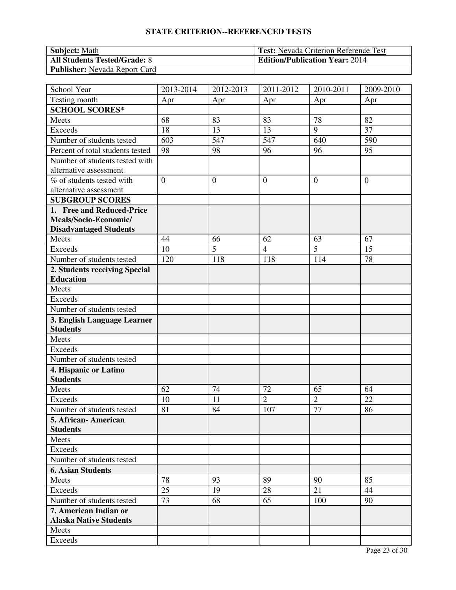| <b>Subject:</b> Math                 | <b>Test:</b> Nevada Criterion Reference Test |
|--------------------------------------|----------------------------------------------|
| <b>All Students Tested/Grade: 8</b>  | <b>Edition/Publication Year: 2014</b>        |
| <b>Publisher:</b> Nevada Report Card |                                              |

| School Year                              | 2013-2014      | 2012-2013      | 2011-2012      | 2010-2011      | 2009-2010      |
|------------------------------------------|----------------|----------------|----------------|----------------|----------------|
| Testing month                            | Apr            | Apr            | Apr            | Apr            | Apr            |
| <b>SCHOOL SCORES*</b>                    |                |                |                |                |                |
| Meets                                    | 68             | 83             | 83             | 78             | 82             |
| <b>Exceeds</b>                           | 18             | 13             | 13             | 9              | 37             |
| Number of students tested                | 603            | 547            | 547            | 640            | 590            |
| Percent of total students tested         | 98             | 98             | 96             | 96             | 95             |
| Number of students tested with           |                |                |                |                |                |
| alternative assessment                   |                |                |                |                |                |
| % of students tested with                | $\overline{0}$ | $\overline{0}$ | $\overline{0}$ | $\mathbf{0}$   | $\overline{0}$ |
| alternative assessment                   |                |                |                |                |                |
| <b>SUBGROUP SCORES</b>                   |                |                |                |                |                |
| 1. Free and Reduced-Price                |                |                |                |                |                |
| Meals/Socio-Economic/                    |                |                |                |                |                |
| <b>Disadvantaged Students</b>            |                |                |                |                |                |
| Meets                                    | 44             | 66             | 62             | 63             | 67             |
| <b>Exceeds</b>                           | 10             | 5              | $\overline{4}$ | $\overline{5}$ | 15             |
| Number of students tested                | 120            | 118            | 118            | 114            | 78             |
| 2. Students receiving Special            |                |                |                |                |                |
| <b>Education</b>                         |                |                |                |                |                |
| Meets                                    |                |                |                |                |                |
| <b>Exceeds</b>                           |                |                |                |                |                |
| Number of students tested                |                |                |                |                |                |
| 3. English Language Learner              |                |                |                |                |                |
| <b>Students</b>                          |                |                |                |                |                |
| Meets                                    |                |                |                |                |                |
| <b>Exceeds</b>                           |                |                |                |                |                |
| Number of students tested                |                |                |                |                |                |
| 4. Hispanic or Latino<br><b>Students</b> |                |                |                |                |                |
| Meets                                    | 62             | 74             | 72             | 65             | 64             |
| Exceeds                                  |                |                | $\overline{2}$ | $\overline{2}$ | 22             |
| Number of students tested                | 10<br>81       | 11<br>84       | 107            | 77             | 86             |
| 5. African- American                     |                |                |                |                |                |
| <b>Students</b>                          |                |                |                |                |                |
| Meets                                    |                |                |                |                |                |
| Exceeds                                  |                |                |                |                |                |
| Number of students tested                |                |                |                |                |                |
| <b>6. Asian Students</b>                 |                |                |                |                |                |
| Meets                                    | 78             | 93             | 89             | 90             | 85             |
| Exceeds                                  | 25             | 19             | 28             | 21             | 44             |
| Number of students tested                | 73             | 68             | 65             | 100            | 90             |
| 7. American Indian or                    |                |                |                |                |                |
| <b>Alaska Native Students</b>            |                |                |                |                |                |
| Meets                                    |                |                |                |                |                |
| Exceeds                                  |                |                |                |                |                |
|                                          |                |                |                |                |                |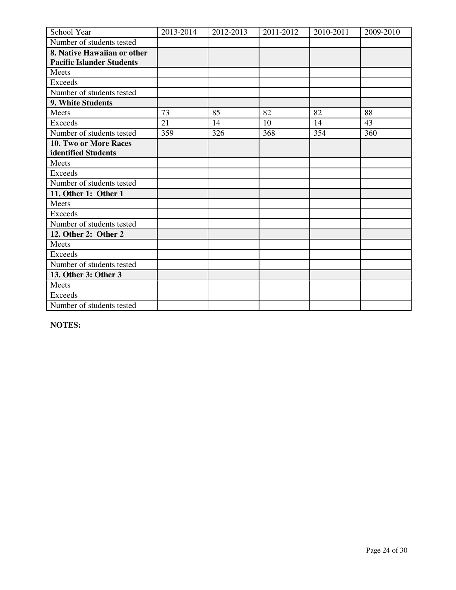| School Year                      | 2013-2014 | 2012-2013 | 2011-2012 | 2010-2011 | 2009-2010 |
|----------------------------------|-----------|-----------|-----------|-----------|-----------|
| Number of students tested        |           |           |           |           |           |
| 8. Native Hawaiian or other      |           |           |           |           |           |
| <b>Pacific Islander Students</b> |           |           |           |           |           |
| Meets                            |           |           |           |           |           |
| <b>Exceeds</b>                   |           |           |           |           |           |
| Number of students tested        |           |           |           |           |           |
| 9. White Students                |           |           |           |           |           |
| Meets                            | 73        | 85        | 82        | 82        | 88        |
| <b>Exceeds</b>                   | 21        | 14        | 10        | 14        | 43        |
| Number of students tested        | 359       | 326       | 368       | 354       | 360       |
| <b>10. Two or More Races</b>     |           |           |           |           |           |
| identified Students              |           |           |           |           |           |
| Meets                            |           |           |           |           |           |
| <b>Exceeds</b>                   |           |           |           |           |           |
| Number of students tested        |           |           |           |           |           |
| 11. Other 1: Other 1             |           |           |           |           |           |
| Meets                            |           |           |           |           |           |
| <b>Exceeds</b>                   |           |           |           |           |           |
| Number of students tested        |           |           |           |           |           |
| 12. Other 2: Other 2             |           |           |           |           |           |
| Meets                            |           |           |           |           |           |
| <b>Exceeds</b>                   |           |           |           |           |           |
| Number of students tested        |           |           |           |           |           |
| 13. Other 3: Other 3             |           |           |           |           |           |
| Meets                            |           |           |           |           |           |
| <b>Exceeds</b>                   |           |           |           |           |           |
| Number of students tested        |           |           |           |           |           |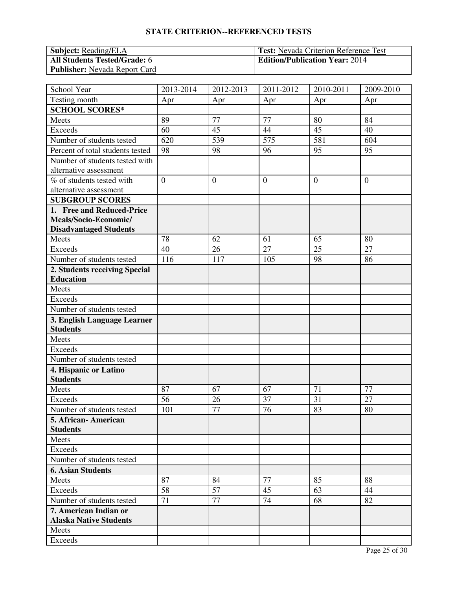| <b>Subject:</b> Reading/ELA          | <b>Test:</b> Nevada Criterion Reference Test |
|--------------------------------------|----------------------------------------------|
| <b>All Students Tested/Grade: 6</b>  | <b>Edition/Publication Year: 2014</b>        |
| <b>Publisher:</b> Nevada Report Card |                                              |

| School Year                                    | 2013-2014      | 2012-2013      | 2011-2012      | 2010-2011      | 2009-2010      |
|------------------------------------------------|----------------|----------------|----------------|----------------|----------------|
| Testing month                                  | Apr            | Apr            | Apr            | Apr            | Apr            |
| <b>SCHOOL SCORES*</b>                          |                |                |                |                |                |
| Meets                                          | 89             | 77             | 77             | 80             | 84             |
| <b>Exceeds</b>                                 | 60             | 45             | 44             | 45             | 40             |
| Number of students tested                      | 620            | 539            | 575            | 581            | 604            |
| Percent of total students tested               | 98             | 98             | 96             | 95             | 95             |
| Number of students tested with                 |                |                |                |                |                |
| alternative assessment                         |                |                |                |                |                |
| % of students tested with                      | $\overline{0}$ | $\overline{0}$ | $\overline{0}$ | $\overline{0}$ | $\overline{0}$ |
| alternative assessment                         |                |                |                |                |                |
| <b>SUBGROUP SCORES</b>                         |                |                |                |                |                |
| 1. Free and Reduced-Price                      |                |                |                |                |                |
| Meals/Socio-Economic/                          |                |                |                |                |                |
| <b>Disadvantaged Students</b>                  |                |                |                |                |                |
| Meets                                          | 78             | 62             | 61             | 65             | 80             |
| <b>Exceeds</b>                                 | 40             | 26             | 27             | 25             | 27             |
| Number of students tested                      | 116            | 117            | 105            | 98             | 86             |
| 2. Students receiving Special                  |                |                |                |                |                |
| <b>Education</b>                               |                |                |                |                |                |
| Meets                                          |                |                |                |                |                |
| <b>Exceeds</b>                                 |                |                |                |                |                |
| Number of students tested                      |                |                |                |                |                |
| 3. English Language Learner<br><b>Students</b> |                |                |                |                |                |
| Meets                                          |                |                |                |                |                |
| <b>Exceeds</b>                                 |                |                |                |                |                |
| Number of students tested                      |                |                |                |                |                |
| 4. Hispanic or Latino                          |                |                |                |                |                |
| <b>Students</b>                                |                |                |                |                |                |
| Meets                                          | 87             | 67             | 67             | 71             | 77             |
| <b>Exceeds</b>                                 | 56             | 26             | 37             | 31             | 27             |
| Number of students tested                      | 101            | 77             | 76             | 83             | 80             |
| 5. African- American                           |                |                |                |                |                |
| <b>Students</b>                                |                |                |                |                |                |
| Meets                                          |                |                |                |                |                |
| Exceeds                                        |                |                |                |                |                |
| Number of students tested                      |                |                |                |                |                |
| <b>6. Asian Students</b>                       |                |                |                |                |                |
| Meets                                          | 87             | 84             | 77             | 85             | 88             |
| Exceeds                                        | 58             | 57             | 45             | 63             | 44             |
| Number of students tested                      | 71             | 77             | 74             | 68             | 82             |
| 7. American Indian or                          |                |                |                |                |                |
| <b>Alaska Native Students</b>                  |                |                |                |                |                |
| Meets                                          |                |                |                |                |                |
| Exceeds                                        |                |                |                |                |                |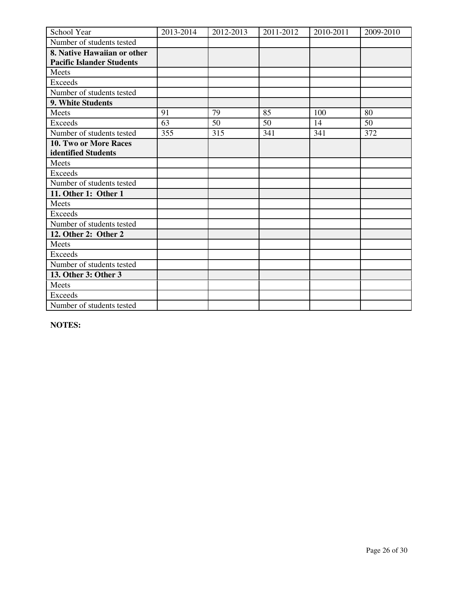| School Year                      | 2013-2014 | 2012-2013 | 2011-2012 | 2010-2011 | 2009-2010 |
|----------------------------------|-----------|-----------|-----------|-----------|-----------|
| Number of students tested        |           |           |           |           |           |
| 8. Native Hawaiian or other      |           |           |           |           |           |
| <b>Pacific Islander Students</b> |           |           |           |           |           |
| Meets                            |           |           |           |           |           |
| <b>Exceeds</b>                   |           |           |           |           |           |
| Number of students tested        |           |           |           |           |           |
| 9. White Students                |           |           |           |           |           |
| Meets                            | 91        | 79        | 85        | 100       | 80        |
| <b>Exceeds</b>                   | 63        | 50        | 50        | 14        | 50        |
| Number of students tested        | 355       | 315       | 341       | 341       | 372       |
| <b>10. Two or More Races</b>     |           |           |           |           |           |
| identified Students              |           |           |           |           |           |
| Meets                            |           |           |           |           |           |
| <b>Exceeds</b>                   |           |           |           |           |           |
| Number of students tested        |           |           |           |           |           |
| 11. Other 1: Other 1             |           |           |           |           |           |
| Meets                            |           |           |           |           |           |
| <b>Exceeds</b>                   |           |           |           |           |           |
| Number of students tested        |           |           |           |           |           |
| 12. Other 2: Other 2             |           |           |           |           |           |
| Meets                            |           |           |           |           |           |
| <b>Exceeds</b>                   |           |           |           |           |           |
| Number of students tested        |           |           |           |           |           |
| 13. Other 3: Other 3             |           |           |           |           |           |
| Meets                            |           |           |           |           |           |
| <b>Exceeds</b>                   |           |           |           |           |           |
| Number of students tested        |           |           |           |           |           |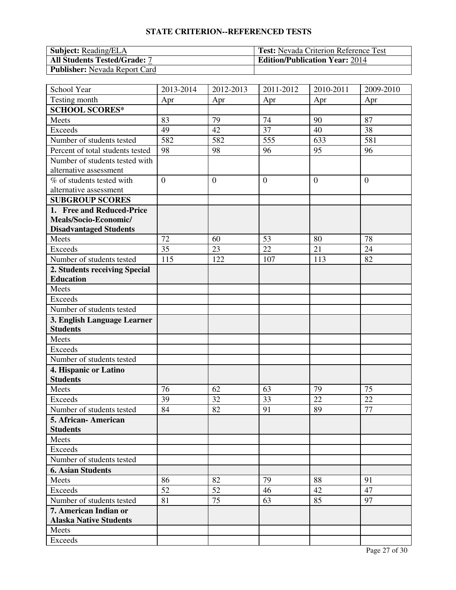| <b>Subject:</b> Reading/ELA          | <b>Test:</b> Nevada Criterion Reference Test |
|--------------------------------------|----------------------------------------------|
| <b>All Students Tested/Grade: 7</b>  | <b>Edition/Publication Year: 2014</b>        |
| <b>Publisher:</b> Nevada Report Card |                                              |

| School Year                                    | 2013-2014      | 2012-2013      | 2011-2012      | 2010-2011    | 2009-2010      |
|------------------------------------------------|----------------|----------------|----------------|--------------|----------------|
| Testing month                                  | Apr            | Apr            | Apr            | Apr          | Apr            |
| <b>SCHOOL SCORES*</b>                          |                |                |                |              |                |
| Meets                                          | 83             | 79             | 74             | 90           | 87             |
| <b>Exceeds</b>                                 | 49             | 42             | 37             | 40           | 38             |
| Number of students tested                      | 582            | 582            | 555            | 633          | 581            |
| Percent of total students tested               | 98             | 98             | 96             | 95           | 96             |
| Number of students tested with                 |                |                |                |              |                |
| alternative assessment                         |                |                |                |              |                |
| % of students tested with                      | $\overline{0}$ | $\overline{0}$ | $\overline{0}$ | $\mathbf{0}$ | $\overline{0}$ |
| alternative assessment                         |                |                |                |              |                |
| <b>SUBGROUP SCORES</b>                         |                |                |                |              |                |
| 1. Free and Reduced-Price                      |                |                |                |              |                |
| Meals/Socio-Economic/                          |                |                |                |              |                |
| <b>Disadvantaged Students</b>                  |                |                |                |              |                |
| Meets                                          | 72             | 60             | 53             | 80           | 78             |
| <b>Exceeds</b>                                 | 35             | 23             | 22             | 21           | 24             |
| Number of students tested                      | 115            | 122            | 107            | 113          | 82             |
| 2. Students receiving Special                  |                |                |                |              |                |
| <b>Education</b>                               |                |                |                |              |                |
| Meets                                          |                |                |                |              |                |
| <b>Exceeds</b>                                 |                |                |                |              |                |
| Number of students tested                      |                |                |                |              |                |
| 3. English Language Learner<br><b>Students</b> |                |                |                |              |                |
| Meets                                          |                |                |                |              |                |
| <b>Exceeds</b>                                 |                |                |                |              |                |
| Number of students tested                      |                |                |                |              |                |
| 4. Hispanic or Latino                          |                |                |                |              |                |
| <b>Students</b>                                |                |                |                |              |                |
| Meets                                          | 76             | 62             | 63             | 79           | 75             |
| Exceeds                                        | 39             | 32             | 33             | 22           | 22             |
| Number of students tested                      | 84             | 82             | 91             | 89           | 77             |
| 5. African- American                           |                |                |                |              |                |
| <b>Students</b>                                |                |                |                |              |                |
| Meets                                          |                |                |                |              |                |
| Exceeds                                        |                |                |                |              |                |
| Number of students tested                      |                |                |                |              |                |
| <b>6. Asian Students</b>                       |                |                |                |              |                |
| Meets                                          | 86             | 82             | 79             | 88           | 91             |
| Exceeds                                        | 52             | 52             | 46             | 42           | 47             |
| Number of students tested                      | 81             | 75             | 63             | 85           | 97             |
| 7. American Indian or                          |                |                |                |              |                |
| <b>Alaska Native Students</b>                  |                |                |                |              |                |
| Meets                                          |                |                |                |              |                |
| Exceeds                                        |                |                |                |              |                |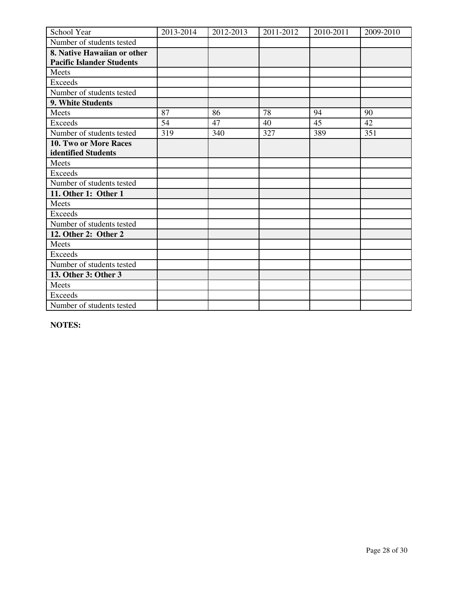| School Year                      | 2013-2014 | 2012-2013 | 2011-2012 | 2010-2011 | 2009-2010 |
|----------------------------------|-----------|-----------|-----------|-----------|-----------|
| Number of students tested        |           |           |           |           |           |
| 8. Native Hawaiian or other      |           |           |           |           |           |
| <b>Pacific Islander Students</b> |           |           |           |           |           |
| Meets                            |           |           |           |           |           |
| <b>Exceeds</b>                   |           |           |           |           |           |
| Number of students tested        |           |           |           |           |           |
| 9. White Students                |           |           |           |           |           |
| Meets                            | 87        | 86        | 78        | 94        | 90        |
| <b>Exceeds</b>                   | 54        | 47        | 40        | 45        | 42        |
| Number of students tested        | 319       | 340       | 327       | 389       | 351       |
| 10. Two or More Races            |           |           |           |           |           |
| identified Students              |           |           |           |           |           |
| Meets                            |           |           |           |           |           |
| <b>Exceeds</b>                   |           |           |           |           |           |
| Number of students tested        |           |           |           |           |           |
| 11. Other 1: Other 1             |           |           |           |           |           |
| Meets                            |           |           |           |           |           |
| <b>Exceeds</b>                   |           |           |           |           |           |
| Number of students tested        |           |           |           |           |           |
| 12. Other 2: Other 2             |           |           |           |           |           |
| Meets                            |           |           |           |           |           |
| Exceeds                          |           |           |           |           |           |
| Number of students tested        |           |           |           |           |           |
| 13. Other 3: Other 3             |           |           |           |           |           |
| Meets                            |           |           |           |           |           |
| <b>Exceeds</b>                   |           |           |           |           |           |
| Number of students tested        |           |           |           |           |           |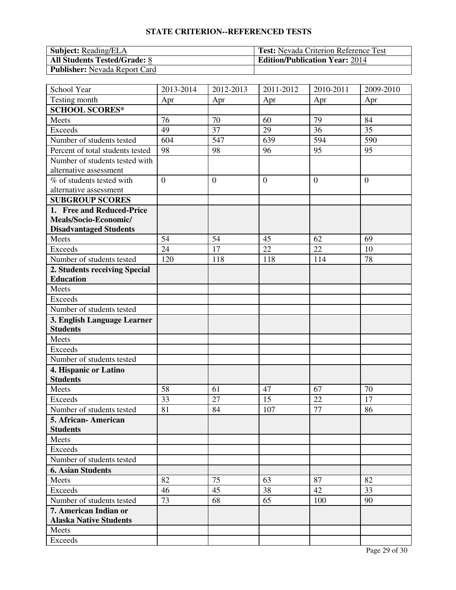| <b>Subject:</b> Reading/ELA          | <b>Test:</b> Nevada Criterion Reference Test |
|--------------------------------------|----------------------------------------------|
| <b>All Students Tested/Grade: 8</b>  | <b>Edition/Publication Year: 2014</b>        |
| <b>Publisher:</b> Nevada Report Card |                                              |

| School Year                                       | 2013-2014      | 2012-2013      | 2011-2012      | 2010-2011    | 2009-2010      |
|---------------------------------------------------|----------------|----------------|----------------|--------------|----------------|
| Testing month                                     | Apr            | Apr            | Apr            | Apr          | Apr            |
| <b>SCHOOL SCORES*</b>                             |                |                |                |              |                |
| Meets                                             | 76             | 70             | 60             | 79           | 84             |
| <b>Exceeds</b>                                    | 49             | 37             | 29             | 36           | 35             |
| Number of students tested                         | 604            | 547            | 639            | 594          | 590            |
| Percent of total students tested                  | 98             | 98             | 96             | 95           | 95             |
| Number of students tested with                    |                |                |                |              |                |
| alternative assessment                            |                |                |                |              |                |
| % of students tested with                         | $\overline{0}$ | $\overline{0}$ | $\overline{0}$ | $\mathbf{0}$ | $\overline{0}$ |
| alternative assessment                            |                |                |                |              |                |
| <b>SUBGROUP SCORES</b>                            |                |                |                |              |                |
| 1. Free and Reduced-Price                         |                |                |                |              |                |
| Meals/Socio-Economic/                             |                |                |                |              |                |
| <b>Disadvantaged Students</b>                     |                |                |                |              |                |
| Meets                                             | 54             | 54             | 45             | 62           | 69             |
| <b>Exceeds</b>                                    | 24             | 17             | 22             | 22           | 10             |
| Number of students tested                         | 120            | 118            | 118            | 114          | 78             |
| 2. Students receiving Special                     |                |                |                |              |                |
| <b>Education</b>                                  |                |                |                |              |                |
| Meets                                             |                |                |                |              |                |
| <b>Exceeds</b>                                    |                |                |                |              |                |
| Number of students tested                         |                |                |                |              |                |
| 3. English Language Learner                       |                |                |                |              |                |
| <b>Students</b>                                   |                |                |                |              |                |
| Meets                                             |                |                |                |              |                |
| Exceeds                                           |                |                |                |              |                |
| Number of students tested                         |                |                |                |              |                |
| 4. Hispanic or Latino<br><b>Students</b>          |                |                |                |              |                |
| Meets                                             | 58             | 61             | 47             | 67           | 70             |
| <b>Exceeds</b>                                    | 33             |                | 15             | 22           | 17             |
|                                                   | 81             | 27<br>84       | 107            | 77           | 86             |
| Number of students tested<br>5. African- American |                |                |                |              |                |
| <b>Students</b>                                   |                |                |                |              |                |
| Meets                                             |                |                |                |              |                |
| Exceeds                                           |                |                |                |              |                |
| Number of students tested                         |                |                |                |              |                |
| <b>6. Asian Students</b>                          |                |                |                |              |                |
| Meets                                             | 82             | 75             | 63             | 87           | 82             |
| Exceeds                                           | 46             | 45             | 38             | 42           | 33             |
| Number of students tested                         | 73             | 68             | 65             | 100          | 90             |
| 7. American Indian or                             |                |                |                |              |                |
| <b>Alaska Native Students</b>                     |                |                |                |              |                |
| Meets                                             |                |                |                |              |                |
| Exceeds                                           |                |                |                |              |                |
|                                                   |                |                |                |              |                |